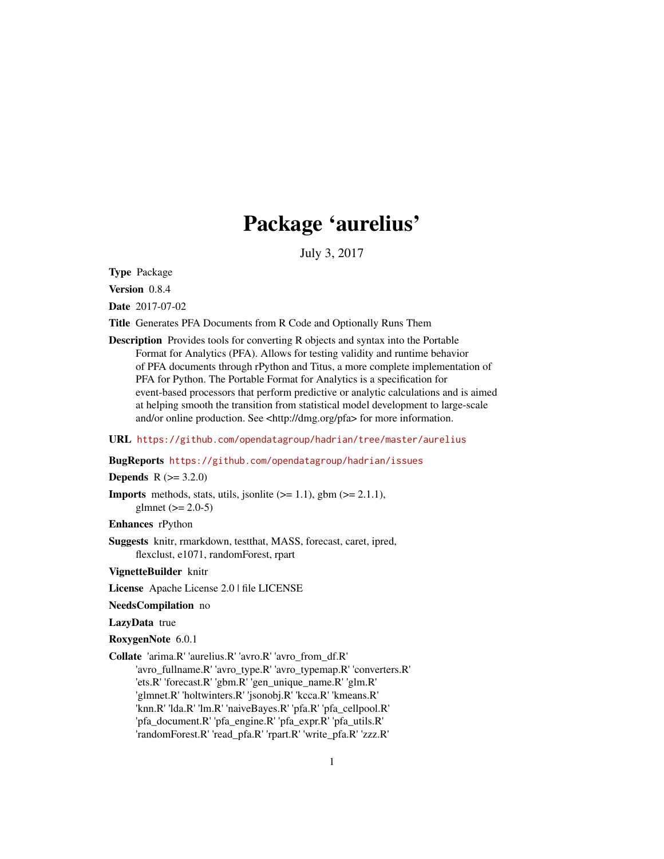# Package 'aurelius'

July 3, 2017

<span id="page-0-0"></span>Type Package

Version 0.8.4

Date 2017-07-02

Title Generates PFA Documents from R Code and Optionally Runs Them

Description Provides tools for converting R objects and syntax into the Portable Format for Analytics (PFA). Allows for testing validity and runtime behavior of PFA documents through rPython and Titus, a more complete implementation of PFA for Python. The Portable Format for Analytics is a specification for event-based processors that perform predictive or analytic calculations and is aimed at helping smooth the transition from statistical model development to large-scale and/or online production. See <http://dmg.org/pfa> for more information.

URL <https://github.com/opendatagroup/hadrian/tree/master/aurelius>

### BugReports <https://github.com/opendatagroup/hadrian/issues>

### **Depends**  $R (= 3.2.0)$

**Imports** methods, stats, utils, jsonlite  $(>= 1.1)$ , gbm  $(>= 2.1.1)$ , glmnet  $(>= 2.0-5)$ 

# Enhances rPython

Suggests knitr, rmarkdown, testthat, MASS, forecast, caret, ipred, flexclust, e1071, randomForest, rpart

VignetteBuilder knitr

License Apache License 2.0 | file LICENSE

NeedsCompilation no

#### LazyData true

RoxygenNote 6.0.1

Collate 'arima.R' 'aurelius.R' 'avro.R' 'avro\_from\_df.R'

'avro\_fullname.R' 'avro\_type.R' 'avro\_typemap.R' 'converters.R' 'ets.R' 'forecast.R' 'gbm.R' 'gen\_unique\_name.R' 'glm.R' 'glmnet.R' 'holtwinters.R' 'jsonobj.R' 'kcca.R' 'kmeans.R' 'knn.R' 'lda.R' 'lm.R' 'naiveBayes.R' 'pfa.R' 'pfa\_cellpool.R' 'pfa\_document.R' 'pfa\_engine.R' 'pfa\_expr.R' 'pfa\_utils.R' 'randomForest.R' 'read\_pfa.R' 'rpart.R' 'write\_pfa.R' 'zzz.R'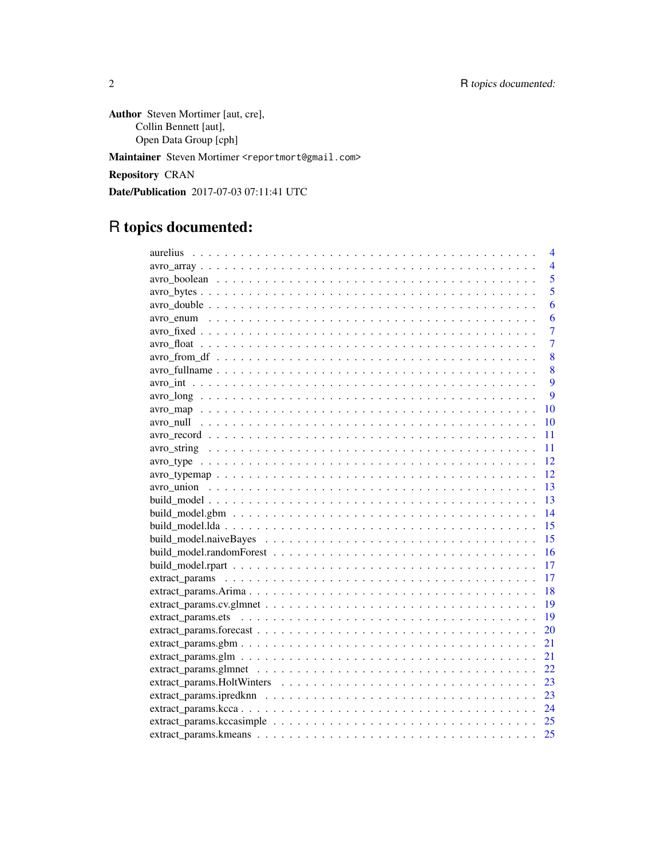Author Steven Mortimer [aut, cre], Collin Bennett [aut], Open Data Group [cph]

Maintainer Steven Mortimer <reportmort@gmail.com>

Repository CRAN

Date/Publication 2017-07-03 07:11:41 UTC

# R topics documented:

| 4              |
|----------------|
| $\overline{4}$ |
| 5              |
| 5              |
| 6              |
| 6              |
| 7              |
| $\overline{7}$ |
| 8              |
| 8              |
| $\overline{Q}$ |
| 9              |
| 10             |
| 10             |
| 11             |
| 11             |
| 12             |
| 12             |
| 13             |
| 13             |
| 14             |
| 15             |
| 15             |
| 16             |
| 17             |
| 17             |
| 18             |
| 19             |
| 19             |
| 20             |
| 21             |
| 21             |
| 22             |
| 23             |
| 23             |
| 24             |
|                |
|                |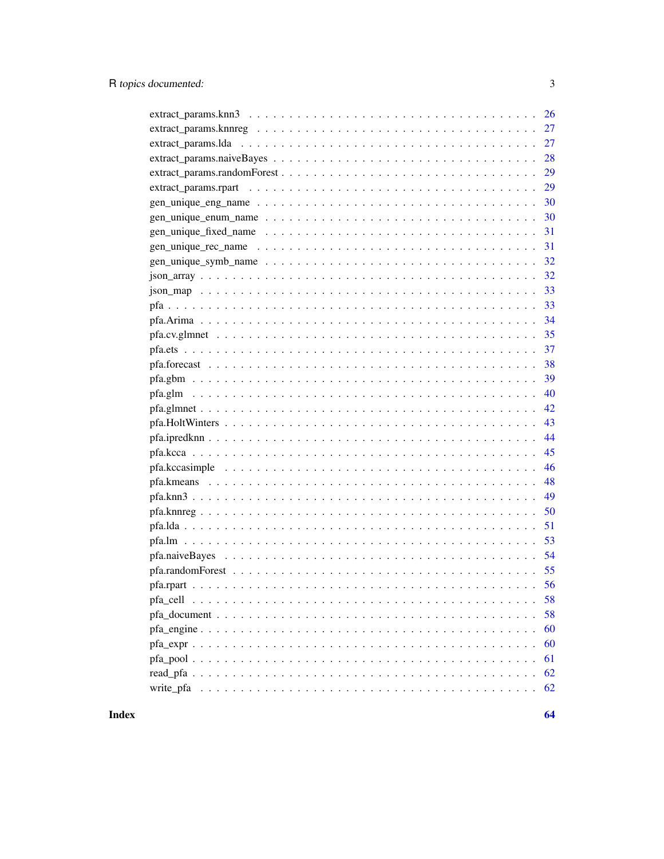| 29             |
|----------------|
| 30             |
|                |
|                |
|                |
|                |
|                |
|                |
|                |
|                |
|                |
|                |
|                |
| 39             |
| 40             |
| 42             |
| 43             |
| 44             |
| 45             |
| 46             |
| 48             |
| 49             |
| 50             |
| 51             |
|                |
|                |
|                |
|                |
| pfa_cell<br>58 |
| 58             |
| 60             |
| 60             |
| 61             |
| 62             |
| 62             |

**Index**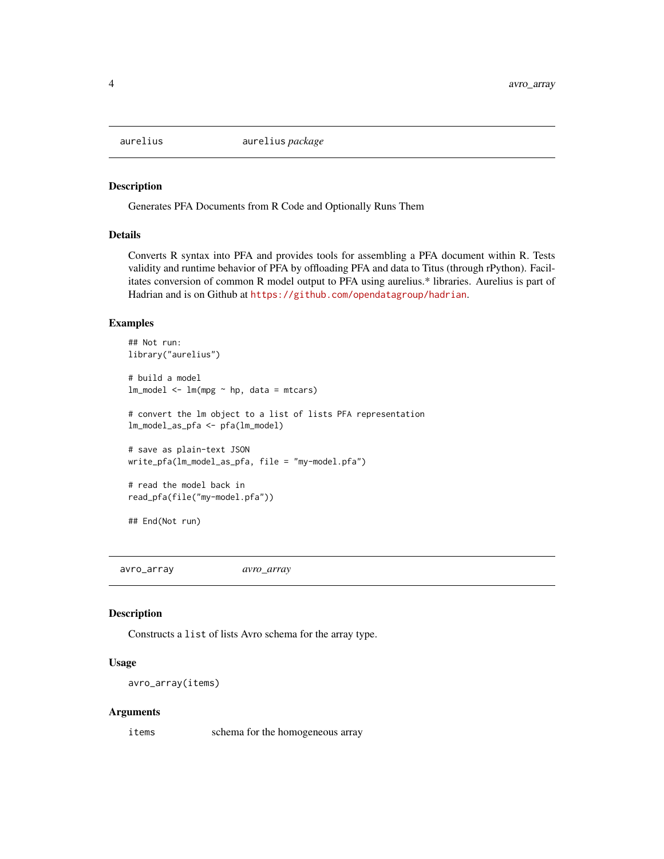<span id="page-3-0"></span>

#### Description

Generates PFA Documents from R Code and Optionally Runs Them

#### Details

Converts R syntax into PFA and provides tools for assembling a PFA document within R. Tests validity and runtime behavior of PFA by offloading PFA and data to Titus (through rPython). Facilitates conversion of common R model output to PFA using aurelius.\* libraries. Aurelius is part of Hadrian and is on Github at <https://github.com/opendatagroup/hadrian>.

#### Examples

```
## Not run:
library("aurelius")
# build a model
lm_model \leftarrow lm(mpg \sim hp, data = mtcars)# convert the lm object to a list of lists PFA representation
lm_model_as_pfa <- pfa(lm_model)
# save as plain-text JSON
write_pfa(lm_model_as_pfa, file = "my-model.pfa")
# read the model back in
read_pfa(file("my-model.pfa"))
## End(Not run)
```
avro\_array *avro\_array*

# Description

Constructs a list of lists Avro schema for the array type.

# Usage

```
avro_array(items)
```
#### Arguments

items schema for the homogeneous array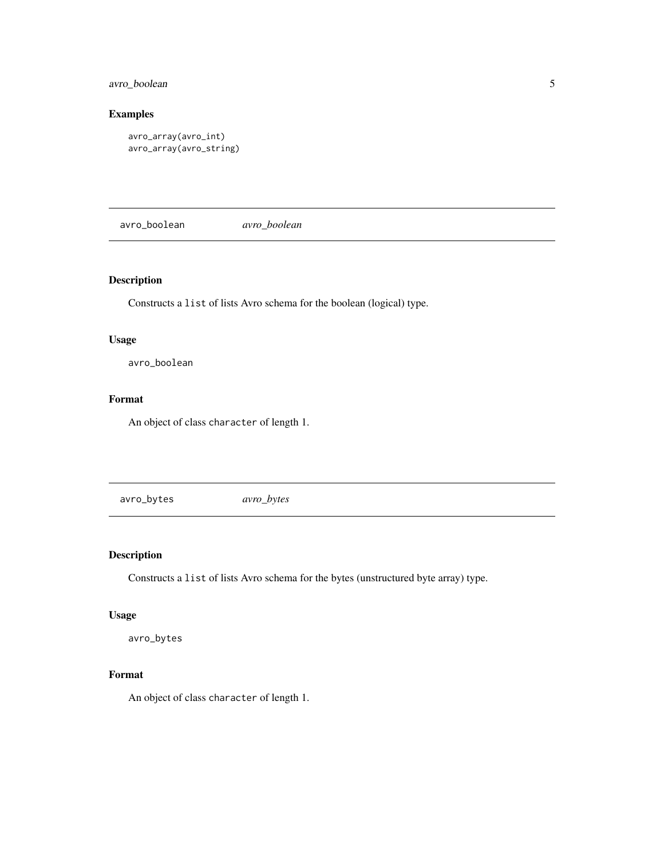# <span id="page-4-0"></span>avro\_boolean 5

# Examples

```
avro_array(avro_int)
avro_array(avro_string)
```
avro\_boolean *avro\_boolean*

# Description

Constructs a list of lists Avro schema for the boolean (logical) type.

# Usage

avro\_boolean

# Format

An object of class character of length 1.

avro\_bytes *avro\_bytes*

# Description

Constructs a list of lists Avro schema for the bytes (unstructured byte array) type.

# Usage

avro\_bytes

# Format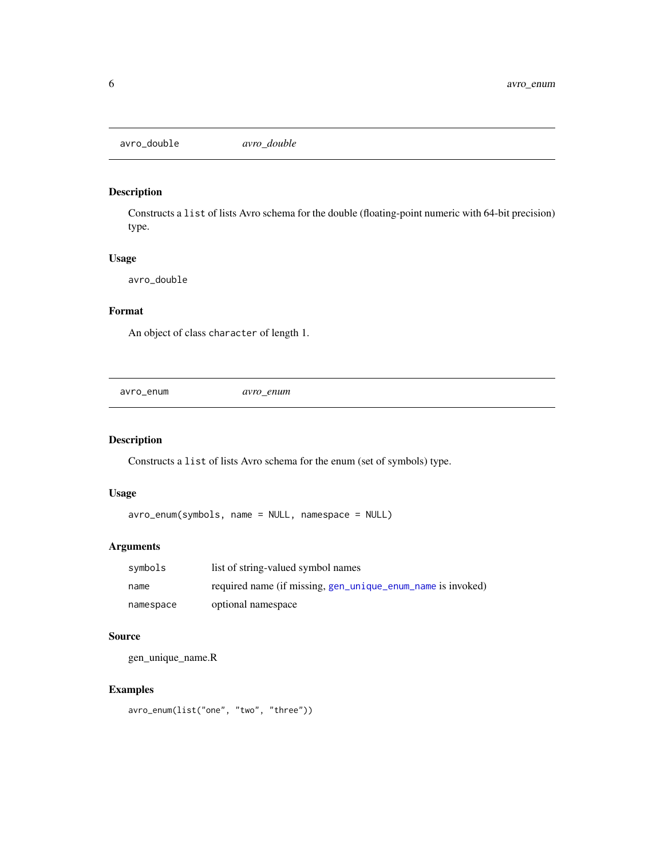<span id="page-5-0"></span>avro\_double *avro\_double*

# Description

Constructs a list of lists Avro schema for the double (floating-point numeric with 64-bit precision) type.

# Usage

avro\_double

# Format

An object of class character of length 1.

avro\_enum *avro\_enum*

# Description

Constructs a list of lists Avro schema for the enum (set of symbols) type.

# Usage

avro\_enum(symbols, name = NULL, namespace = NULL)

# Arguments

| symbols   | list of string-valued symbol names                          |
|-----------|-------------------------------------------------------------|
| name      | required name (if missing, gen_unique_enum_name is invoked) |
| namespace | optional namespace                                          |

### Source

gen\_unique\_name.R

# Examples

avro\_enum(list("one", "two", "three"))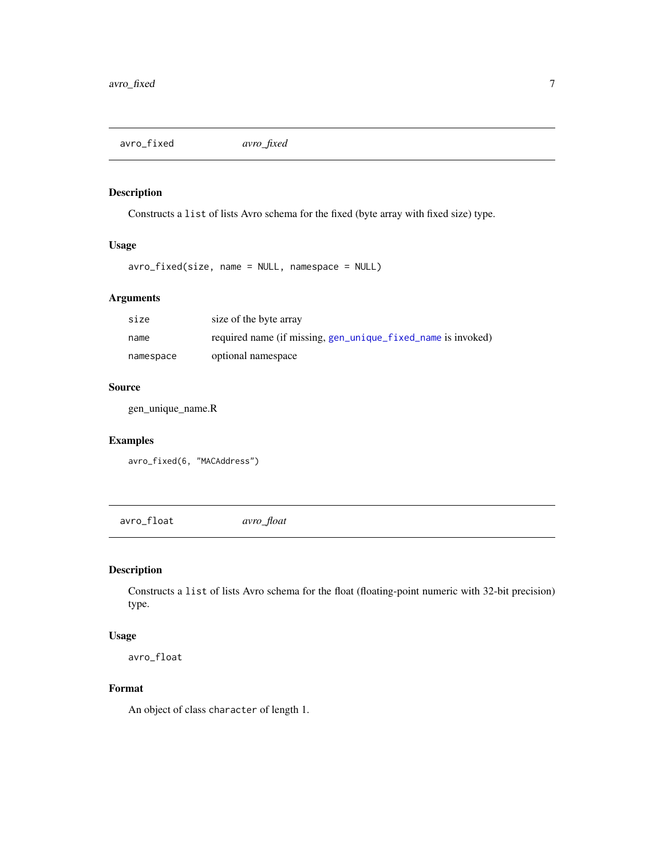<span id="page-6-0"></span>avro\_fixed *avro\_fixed*

# Description

Constructs a list of lists Avro schema for the fixed (byte array with fixed size) type.

# Usage

avro\_fixed(size, name = NULL, namespace = NULL)

# Arguments

| size      | size of the byte array                                       |
|-----------|--------------------------------------------------------------|
| name      | required name (if missing, gen_unique_fixed_name is invoked) |
| namespace | optional namespace                                           |

# Source

gen\_unique\_name.R

# Examples

avro\_fixed(6, "MACAddress")

avro\_float *avro\_float*

# Description

Constructs a list of lists Avro schema for the float (floating-point numeric with 32-bit precision) type.

#### Usage

avro\_float

# Format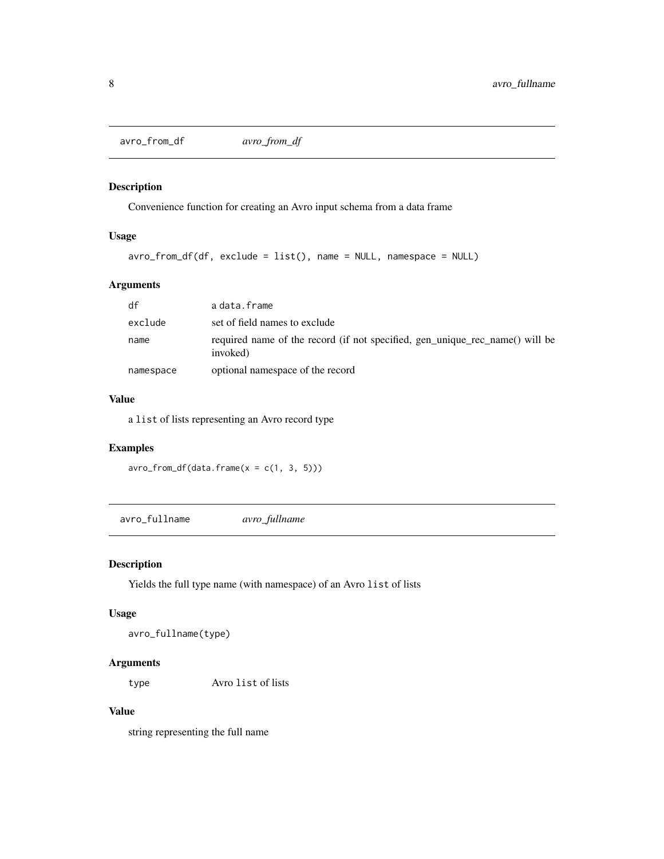<span id="page-7-0"></span>avro\_from\_df *avro\_from\_df*

# Description

Convenience function for creating an Avro input schema from a data frame

# Usage

```
avro_from_df(df, exclude = list(), name = NULL, namespace = NULL)
```
# Arguments

| df        | adata.frame                                                                              |
|-----------|------------------------------------------------------------------------------------------|
| exclude   | set of field names to exclude                                                            |
| name      | required name of the record (if not specified, gen_unique_rec_name() will be<br>invoked) |
| namespace | optional namespace of the record                                                         |

# Value

a list of lists representing an Avro record type

# Examples

 $\text{avro\_from\_df}(\text{data}. \text{frame}(x = c(1, 3, 5)))$ 

avro\_fullname *avro\_fullname*

# Description

Yields the full type name (with namespace) of an Avro list of lists

#### Usage

```
avro_fullname(type)
```
# Arguments

type Avro list of lists

# Value

string representing the full name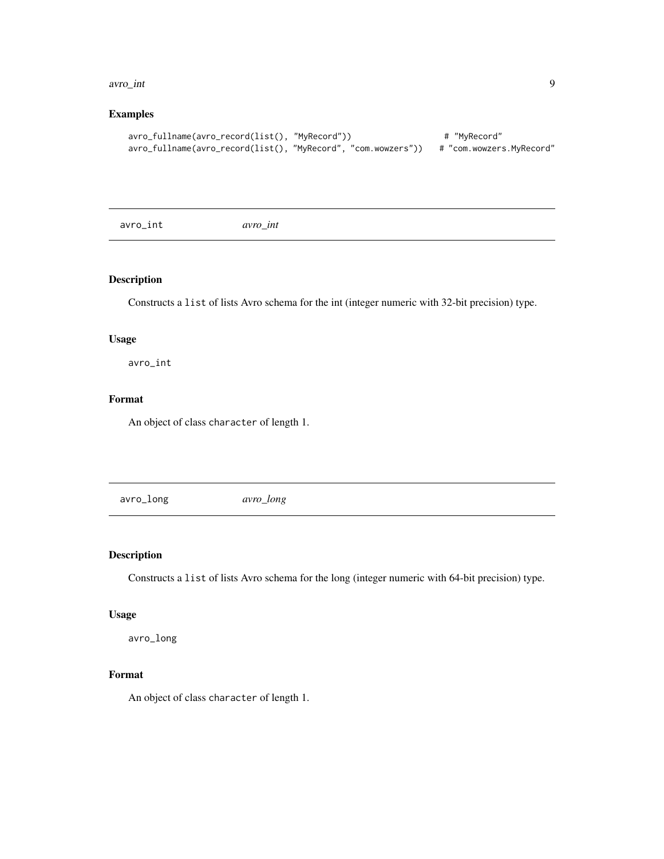#### <span id="page-8-0"></span>avro\_int 9

# Examples

```
avro_fullname(avro_record(list(), "MyRecord")) # "MyRecord"
avro_fullname(avro_record(list(), "MyRecord", "com.wowzers")) # "com.wowzers.MyRecord"
```
avro\_int *avro\_int*

# Description

Constructs a list of lists Avro schema for the int (integer numeric with 32-bit precision) type.

### Usage

avro\_int

# Format

An object of class character of length 1.

avro\_long *avro\_long*

# Description

Constructs a list of lists Avro schema for the long (integer numeric with 64-bit precision) type.

# Usage

avro\_long

# Format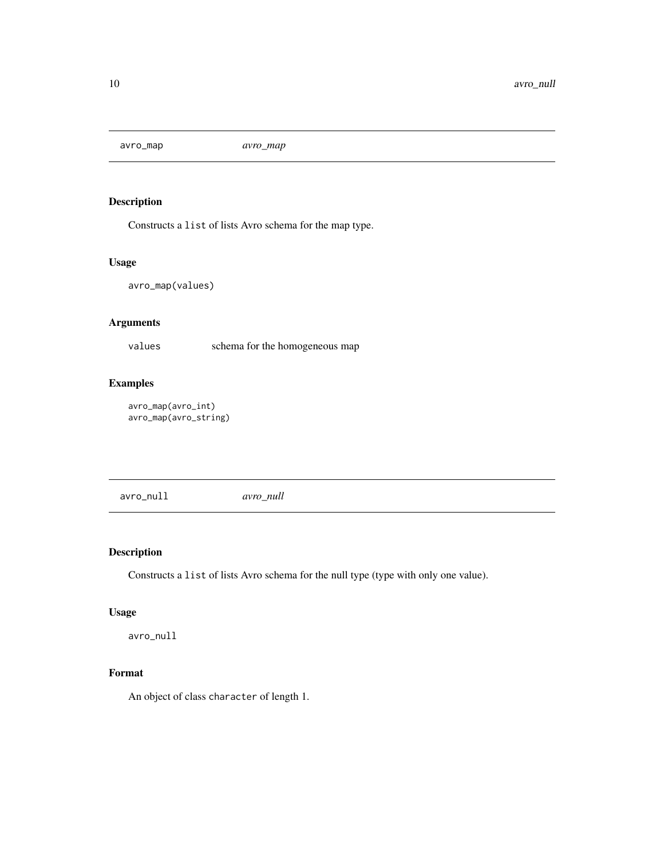<span id="page-9-0"></span>avro\_map *avro\_map*

# Description

Constructs a list of lists Avro schema for the map type.

# Usage

avro\_map(values)

# Arguments

values schema for the homogeneous map

# Examples

```
avro_map(avro_int)
avro_map(avro_string)
```
avro\_null *avro\_null*

# Description

Constructs a list of lists Avro schema for the null type (type with only one value).

### Usage

avro\_null

# Format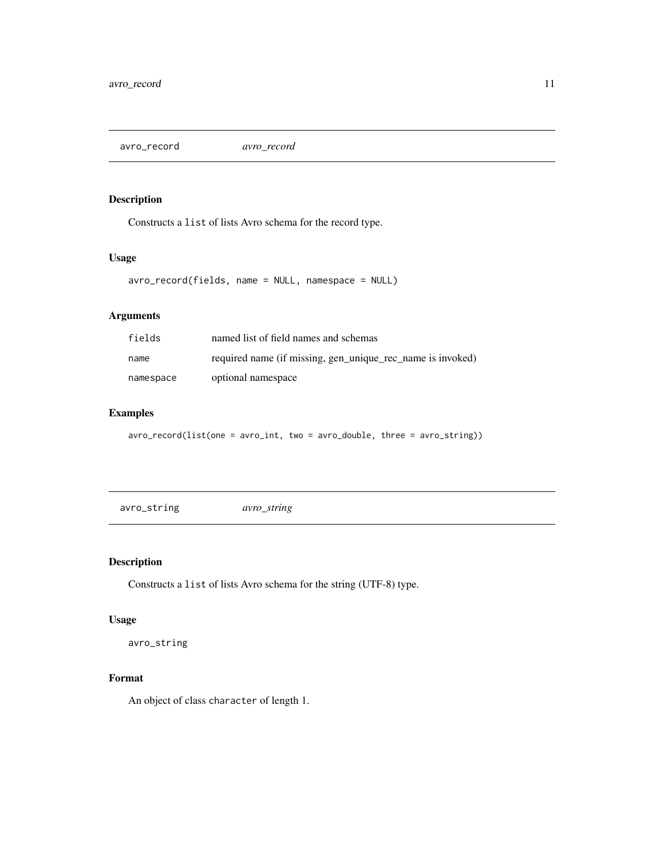<span id="page-10-0"></span>avro\_record *avro\_record*

# Description

Constructs a list of lists Avro schema for the record type.

### Usage

avro\_record(fields, name = NULL, namespace = NULL)

# Arguments

| fields    | named list of field names and schemas                      |
|-----------|------------------------------------------------------------|
| name      | required name (if missing, gen_unique_rec_name is invoked) |
| namespace | optional namespace                                         |

# Examples

avro\_record(list(one = avro\_int, two = avro\_double, three = avro\_string))

avro\_string *avro\_string*

# Description

Constructs a list of lists Avro schema for the string (UTF-8) type.

# Usage

avro\_string

#### Format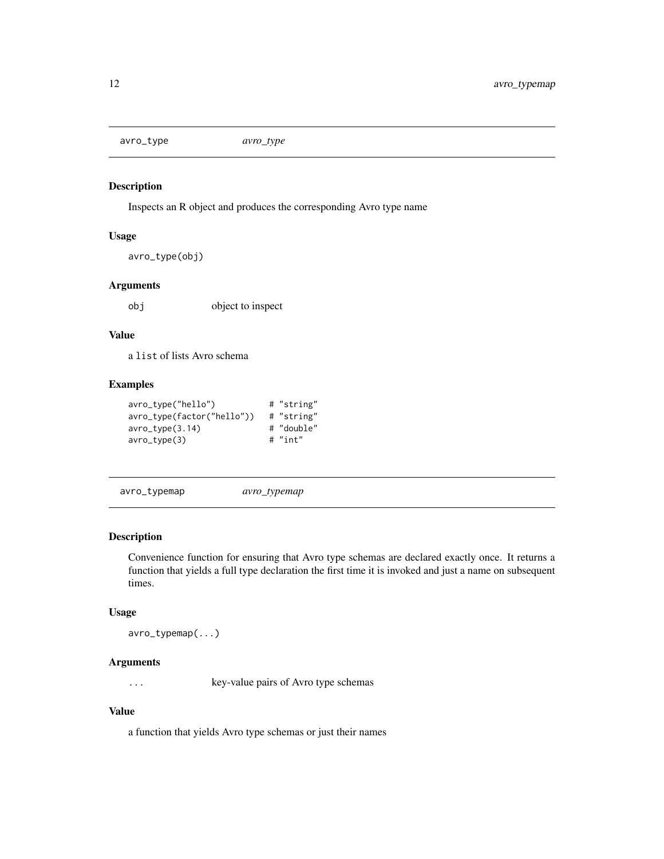<span id="page-11-0"></span>avro\_type *avro\_type*

# Description

Inspects an R object and produces the corresponding Avro type name

### Usage

```
avro_type(obj)
```
### Arguments

obj object to inspect

# Value

a list of lists Avro schema

# Examples

| avro_type("hello")         | # "string" |
|----------------------------|------------|
| avro_type(factor("hello")) | # "string" |
| avro_type(3.14)            | # "double" |
| avro_type(3)               | $#$ "int"  |

```
avro_typemap avro_typemap
```
# Description

Convenience function for ensuring that Avro type schemas are declared exactly once. It returns a function that yields a full type declaration the first time it is invoked and just a name on subsequent times.

#### Usage

avro\_typemap(...)

# Arguments

... key-value pairs of Avro type schemas

# Value

a function that yields Avro type schemas or just their names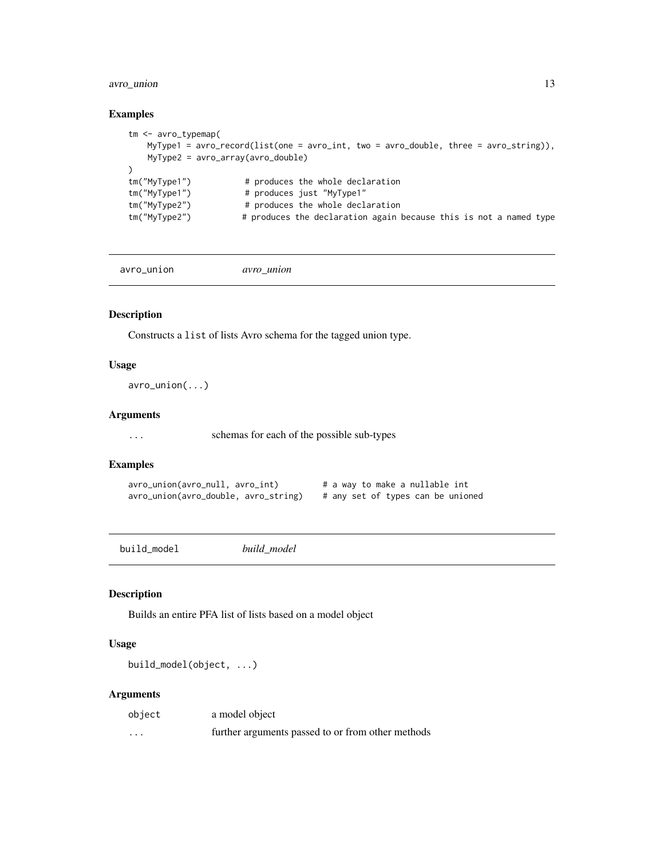# <span id="page-12-0"></span>avro\_union 13

### Examples

```
tm <- avro_typemap(
   MyType1 = avro_record(list(one = avro_int, two = avro_double, three = avro_string)),
   MyType2 = avro_array(avro_double)
\lambdatm("MyType1") # produces the whole declaration
tm("MyType1") # produces just "MyType1"
tm("MyType2") # produces the whole declaration
tm("MyType2") # produces the declaration again because this is not a named type
```
avro\_union *avro\_union*

#### Description

Constructs a list of lists Avro schema for the tagged union type.

# Usage

avro\_union(...)

#### Arguments

... schemas for each of the possible sub-types

### Examples

```
avro_union(avro_null, avro_int) # a way to make a nullable int
avro_union(avro_double, avro_string) # any set of types can be unioned
```
build\_model *build\_model*

#### Description

Builds an entire PFA list of lists based on a model object

# Usage

build\_model(object, ...)

| object   | a model object                                    |
|----------|---------------------------------------------------|
| $\cdots$ | further arguments passed to or from other methods |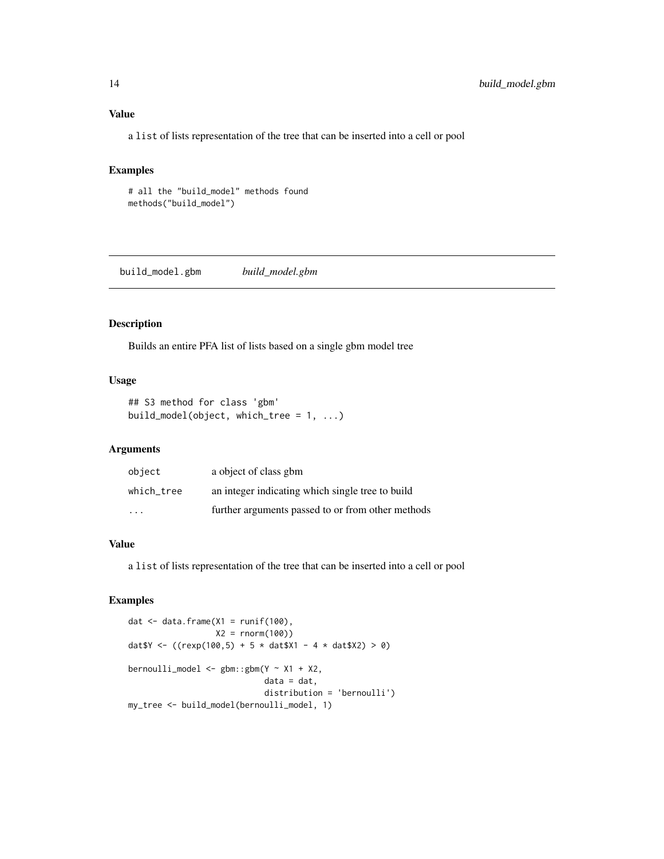# <span id="page-13-0"></span>Value

a list of lists representation of the tree that can be inserted into a cell or pool

# Examples

# all the "build\_model" methods found methods("build\_model")

build\_model.gbm *build\_model.gbm*

#### Description

Builds an entire PFA list of lists based on a single gbm model tree

#### Usage

```
## S3 method for class 'gbm'
build_model(object, which_tree = 1, ...)
```
#### Arguments

| object     | a object of class gbm                             |
|------------|---------------------------------------------------|
| which tree | an integer indicating which single tree to build  |
| .          | further arguments passed to or from other methods |

### Value

a list of lists representation of the tree that can be inserted into a cell or pool

```
dat \leq data.frame(X1 = runif(100),
                   X2 = rnorm(100)dat \gamma <- ((rexp(100,5) + 5 * dat \gamma1 - 4 * dat \gamma2) > 0)
bernoulli_model <- gbm:gbm(Y \sim X1 + X2,data = dat,distribution = 'bernoulli')
my_tree <- build_model(bernoulli_model, 1)
```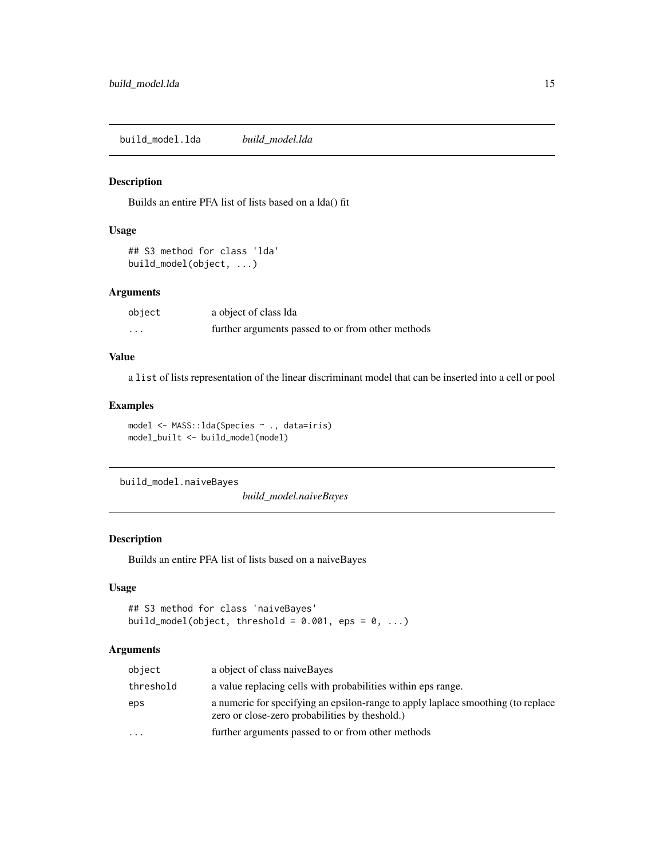<span id="page-14-0"></span>build\_model.lda *build\_model.lda*

### Description

Builds an entire PFA list of lists based on a lda() fit

#### Usage

```
## S3 method for class 'lda'
build_model(object, ...)
```
# Arguments

| object   | a object of class Ida                             |
|----------|---------------------------------------------------|
| $\cdots$ | further arguments passed to or from other methods |

### Value

a list of lists representation of the linear discriminant model that can be inserted into a cell or pool

### Examples

```
model <- MASS::lda(Species ~ ., data=iris)
model_built <- build_model(model)
```
build\_model.naiveBayes

*build\_model.naiveBayes*

# Description

Builds an entire PFA list of lists based on a naiveBayes

# Usage

```
## S3 method for class 'naiveBayes'
build_model(object, threshold = 0.001, eps = 0, ...)
```

| object    | a object of class naive Bayes                                                                                                       |
|-----------|-------------------------------------------------------------------------------------------------------------------------------------|
| threshold | a value replacing cells with probabilities within eps range.                                                                        |
| eps       | a numeric for specifying an epsilon-range to apply laplace smoothing (to replace<br>zero or close-zero probabilities by the shold.) |
| $\cdots$  | further arguments passed to or from other methods                                                                                   |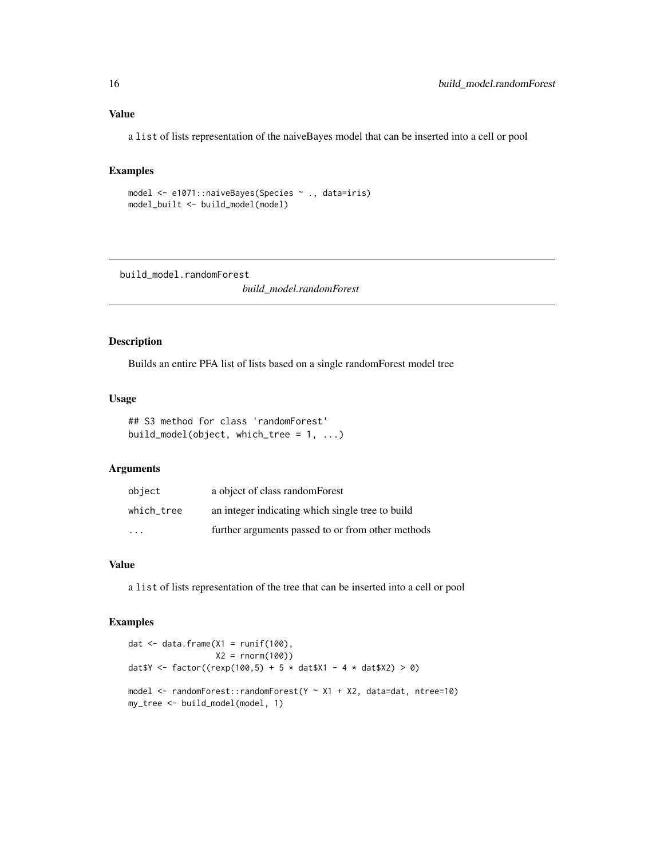<span id="page-15-0"></span>a list of lists representation of the naiveBayes model that can be inserted into a cell or pool

#### Examples

```
model <- e1071::naiveBayes(Species ~ ., data=iris)
model_built <- build_model(model)
```
build\_model.randomForest

*build\_model.randomForest*

# Description

Builds an entire PFA list of lists based on a single randomForest model tree

#### Usage

```
## S3 method for class 'randomForest'
build_model(object, which_tree = 1, ...)
```
### Arguments

| object     | a object of class random Forest                   |
|------------|---------------------------------------------------|
| which tree | an integer indicating which single tree to build  |
| .          | further arguments passed to or from other methods |

# Value

a list of lists representation of the tree that can be inserted into a cell or pool

```
dat \leq data.frame(X1 = runif(100),
                  X2 = rnorm(100)dat $Y <- factor((rexp(100,5) + 5 * dat $X1 - 4 * dat $X2) > 0)
model <- randomForest::randomForest(Y ~ X1 + X2, data=dat, ntree=10)
my_tree <- build_model(model, 1)
```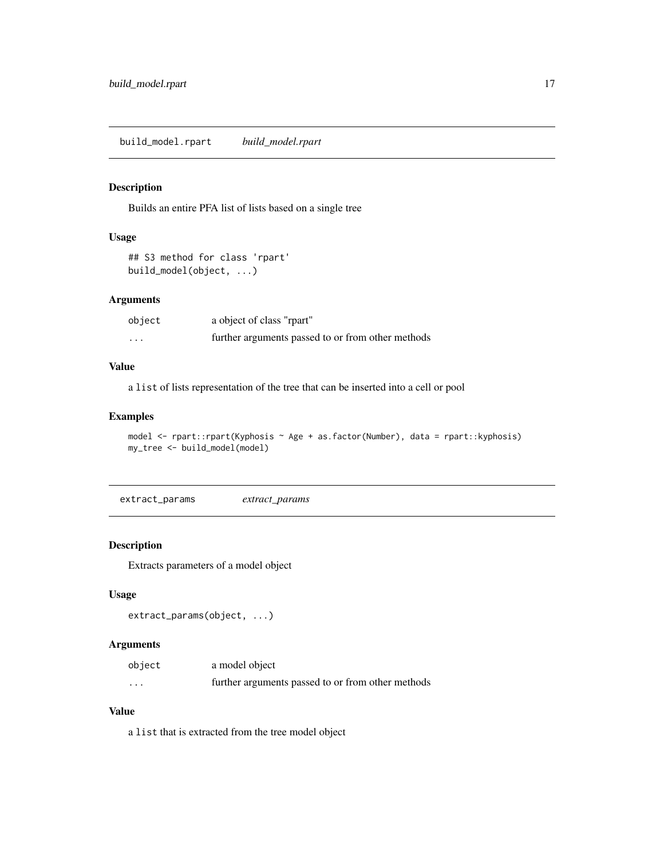# <span id="page-16-0"></span>Description

Builds an entire PFA list of lists based on a single tree

# Usage

```
## S3 method for class 'rpart'
build_model(object, ...)
```
#### Arguments

| object                  | a object of class "rpart"                         |
|-------------------------|---------------------------------------------------|
| $\cdot$ $\cdot$ $\cdot$ | further arguments passed to or from other methods |

#### Value

a list of lists representation of the tree that can be inserted into a cell or pool

# Examples

```
model <- rpart::rpart(Kyphosis ~ Age + as.factor(Number), data = rpart::kyphosis)
my_tree <- build_model(model)
```
extract\_params *extract\_params*

## Description

Extracts parameters of a model object

#### Usage

```
extract_params(object, ...)
```
# Arguments

| object   | a model object                                    |
|----------|---------------------------------------------------|
| $\cdots$ | further arguments passed to or from other methods |

# Value

a list that is extracted from the tree model object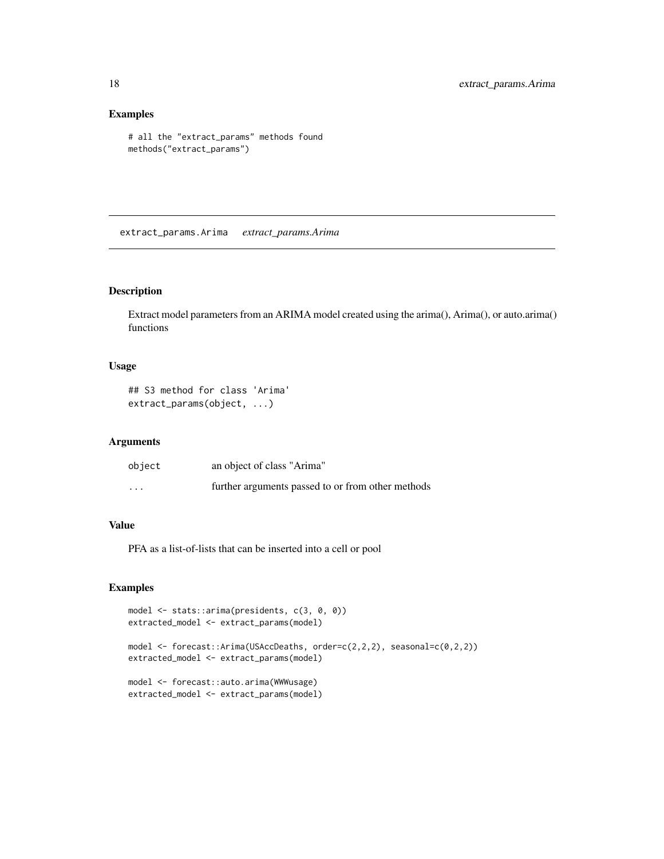# Examples

```
# all the "extract_params" methods found
methods("extract_params")
```
<span id="page-17-1"></span>extract\_params.Arima *extract\_params.Arima*

# Description

Extract model parameters from an ARIMA model created using the arima(), Arima(), or auto.arima() functions

#### Usage

```
## S3 method for class 'Arima'
extract_params(object, ...)
```
# Arguments

| object                  | an object of class "Arima"                        |
|-------------------------|---------------------------------------------------|
| $\cdot$ $\cdot$ $\cdot$ | further arguments passed to or from other methods |

# Value

PFA as a list-of-lists that can be inserted into a cell or pool

```
model <- stats::arima(presidents, c(3, 0, 0))
extracted_model <- extract_params(model)
model <- forecast::Arima(USAccDeaths, order=c(2,2,2), seasonal=c(0,2,2))
extracted_model <- extract_params(model)
model <- forecast::auto.arima(WWWusage)
extracted_model <- extract_params(model)
```
<span id="page-17-0"></span>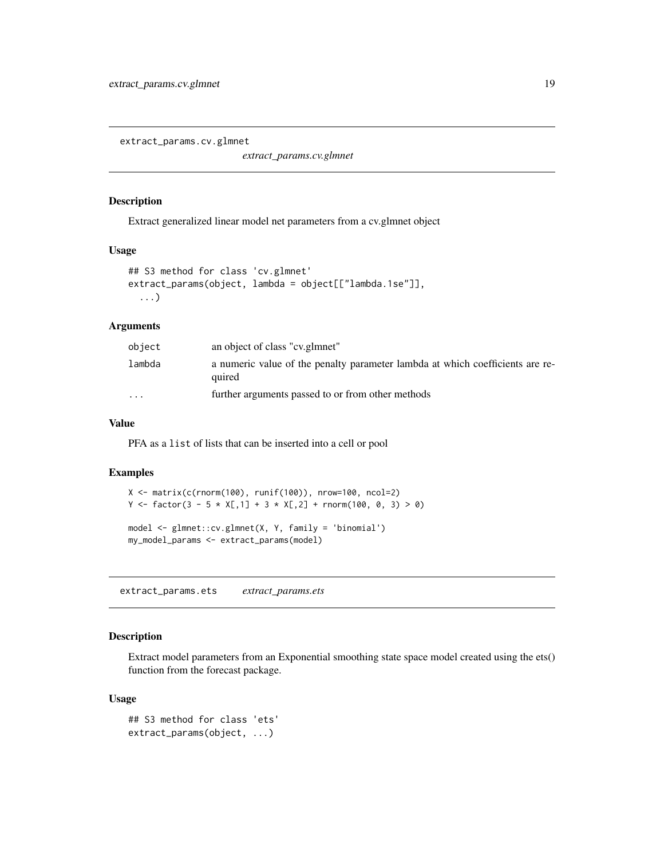<span id="page-18-0"></span>extract\_params.cv.glmnet

*extract\_params.cv.glmnet*

#### Description

Extract generalized linear model net parameters from a cv.glmnet object

# Usage

```
## S3 method for class 'cv.glmnet'
extract_params(object, lambda = object[["lambda.1se"]],
  ...)
```
#### Arguments

| object                  | an object of class "cv.glmnet"                                                          |
|-------------------------|-----------------------------------------------------------------------------------------|
| lambda                  | a numeric value of the penalty parameter lambda at which coefficients are re-<br>quired |
| $\cdot$ $\cdot$ $\cdot$ | further arguments passed to or from other methods                                       |

# Value

PFA as a list of lists that can be inserted into a cell or pool

### Examples

```
X \leftarrow \text{matrix}(c(\text{rnorm}(100), \text{runif}(100)), \text{nrow=}100, \text{ncol=}2)Y <- factor(3 - 5 * X[,1] + 3 * X[,2] + rnorm(100, 0, 3) > 0)
model <- glmnet::cv.glmnet(X, Y, family = 'binomial')
my_model_params <- extract_params(model)
```
<span id="page-18-1"></span>extract\_params.ets *extract\_params.ets*

#### Description

Extract model parameters from an Exponential smoothing state space model created using the ets() function from the forecast package.

# Usage

```
## S3 method for class 'ets'
extract_params(object, ...)
```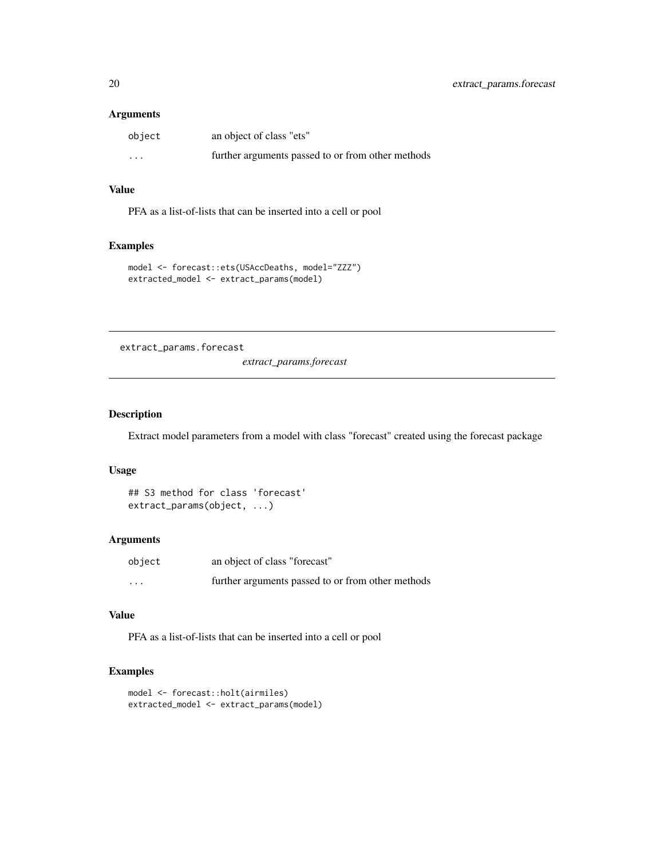# <span id="page-19-0"></span>Arguments

| object   | an object of class "ets"                          |
|----------|---------------------------------------------------|
| $\cdots$ | further arguments passed to or from other methods |

# Value

PFA as a list-of-lists that can be inserted into a cell or pool

# Examples

```
model <- forecast::ets(USAccDeaths, model="ZZZ")
extracted_model <- extract_params(model)
```
extract\_params.forecast

*extract\_params.forecast*

# Description

Extract model parameters from a model with class "forecast" created using the forecast package

### Usage

```
## S3 method for class 'forecast'
extract_params(object, ...)
```
#### Arguments

| object                  | an object of class "forecast"                     |
|-------------------------|---------------------------------------------------|
| $\cdot$ $\cdot$ $\cdot$ | further arguments passed to or from other methods |

# Value

PFA as a list-of-lists that can be inserted into a cell or pool

```
model <- forecast::holt(airmiles)
extracted_model <- extract_params(model)
```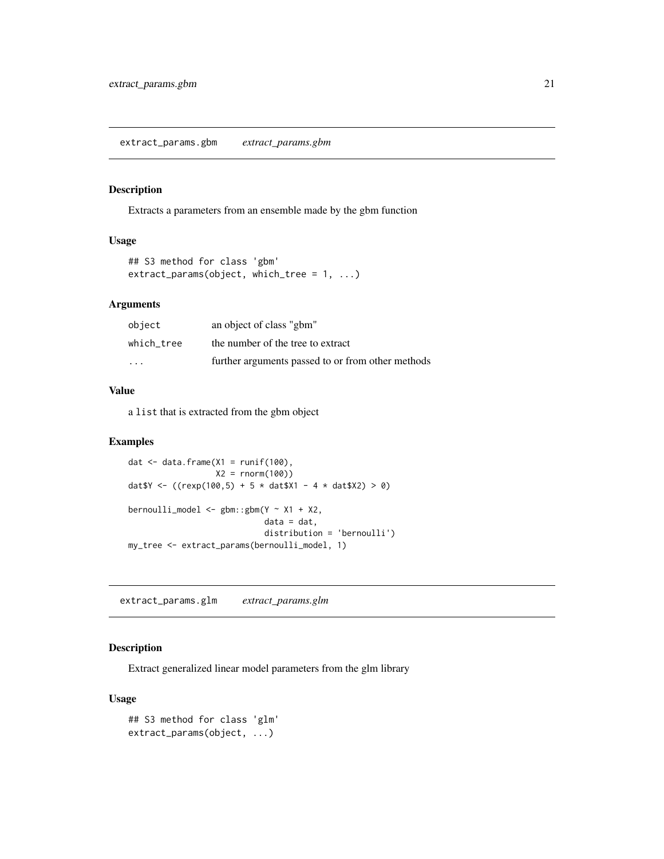<span id="page-20-0"></span>extract\_params.gbm *extract\_params.gbm*

#### Description

Extracts a parameters from an ensemble made by the gbm function

# Usage

```
## S3 method for class 'gbm'
extract_params(object, which_tree = 1, ...)
```
# Arguments

| object     | an object of class "gbm"                          |
|------------|---------------------------------------------------|
| which tree | the number of the tree to extract                 |
| $\cdot$    | further arguments passed to or from other methods |

### Value

a list that is extracted from the gbm object

### Examples

```
dat \leq data.frame(X1 = runif(100),
                  X2 = rnorm(100)dat \gamma <- ((rexp(100,5) + 5 * dat \gamma1 - 4 * dat \gamma2) > 0)
bernoulli_model <- gbm(Y \sim X1 + X2,data = dat.
                             distribution = 'bernoulli')
my_tree <- extract_params(bernoulli_model, 1)
```
<span id="page-20-1"></span>extract\_params.glm *extract\_params.glm*

# Description

Extract generalized linear model parameters from the glm library

# Usage

```
## S3 method for class 'glm'
extract_params(object, ...)
```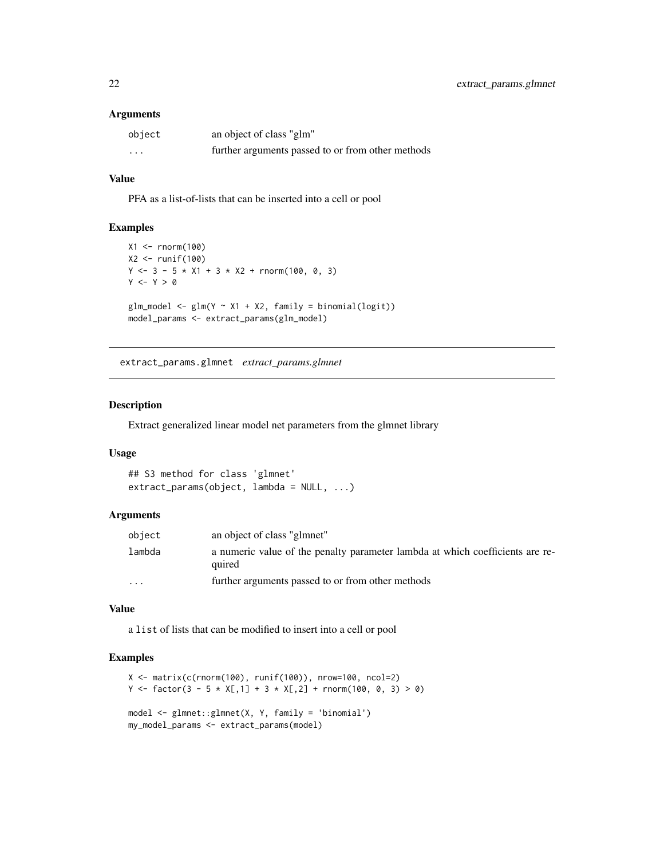#### <span id="page-21-0"></span>Arguments

| object   | an object of class "glm"                          |
|----------|---------------------------------------------------|
| $\cdots$ | further arguments passed to or from other methods |

# Value

PFA as a list-of-lists that can be inserted into a cell or pool

# Examples

```
X1 <- rnorm(100)X2 <- runif(100)
Y \leftarrow 3 - 5 \times X1 + 3 \times X2 + \text{rnorm}(100, 0, 3)Y \leftarrow Y > 0glm_model \leftarrow glm(Y \sim X1 + X2, family = binomial(logit))model_params <- extract_params(glm_model)
```
<span id="page-21-1"></span>extract\_params.glmnet *extract\_params.glmnet*

#### Description

Extract generalized linear model net parameters from the glmnet library

# Usage

```
## S3 method for class 'glmnet'
extract_params(object, lambda = NULL, ...)
```
#### Arguments

| object   | an object of class "glmnet"                                                             |
|----------|-----------------------------------------------------------------------------------------|
| lambda   | a numeric value of the penalty parameter lambda at which coefficients are re-<br>quired |
| $\cdots$ | further arguments passed to or from other methods                                       |

#### Value

a list of lists that can be modified to insert into a cell or pool

```
X <- matrix(c(rnorm(100), runif(100)), nrow=100, ncol=2)
Y <- factor(3 - 5 * X[,1] + 3 * X[,2] + rnorm(100, 0, 3) > 0)
model <- glmnet::glmnet(X, Y, family = 'binomial')
my_model_params <- extract_params(model)
```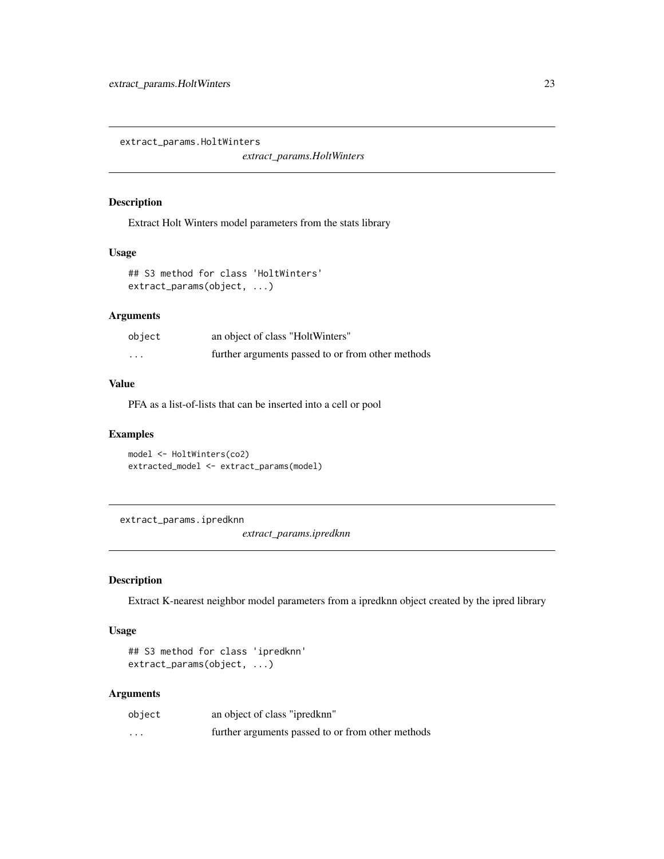<span id="page-22-1"></span><span id="page-22-0"></span>extract\_params.HoltWinters

*extract\_params.HoltWinters*

### Description

Extract Holt Winters model parameters from the stats library

# Usage

## S3 method for class 'HoltWinters' extract\_params(object, ...)

# Arguments

| object  | an object of class "HoltWinters"                  |
|---------|---------------------------------------------------|
| $\cdot$ | further arguments passed to or from other methods |

# Value

PFA as a list-of-lists that can be inserted into a cell or pool

#### Examples

```
model <- HoltWinters(co2)
extracted_model <- extract_params(model)
```
extract\_params.ipredknn

*extract\_params.ipredknn*

# Description

Extract K-nearest neighbor model parameters from a ipredknn object created by the ipred library

#### Usage

```
## S3 method for class 'ipredknn'
extract_params(object, ...)
```

| object   | an object of class "ipredknn"                     |
|----------|---------------------------------------------------|
| $\cdots$ | further arguments passed to or from other methods |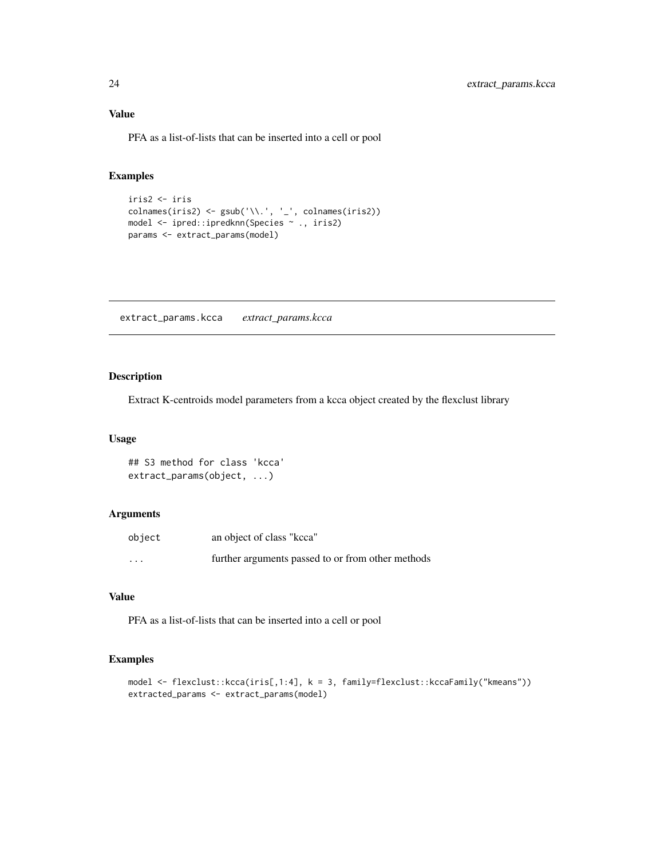<span id="page-23-0"></span>PFA as a list-of-lists that can be inserted into a cell or pool

# Examples

```
iris2 <- iris
\text{columns}(iris2) \leq \text{gsub}(\text{'}\text{''}, \text{'}'', \text{'}', \text{coInames}(iris2))model <- ipred::ipredknn(Species ~ ., iris2)
params <- extract_params(model)
```
<span id="page-23-1"></span>extract\_params.kcca *extract\_params.kcca*

# Description

Extract K-centroids model parameters from a kcca object created by the flexclust library

# Usage

## S3 method for class 'kcca' extract\_params(object, ...)

### Arguments

| object               | an object of class "kcca"                         |
|----------------------|---------------------------------------------------|
| $\ddot{\phantom{0}}$ | further arguments passed to or from other methods |

# Value

PFA as a list-of-lists that can be inserted into a cell or pool

```
model <- flexclust::kcca(iris[,1:4], k = 3, family=flexclust::kccaFamily("kmeans"))
extracted_params <- extract_params(model)
```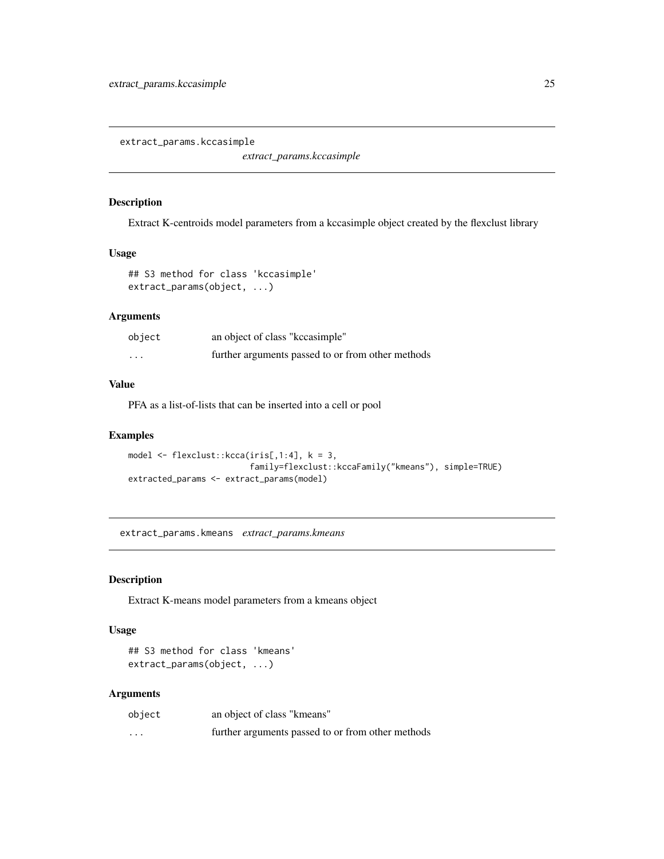<span id="page-24-1"></span><span id="page-24-0"></span>extract\_params.kccasimple

*extract\_params.kccasimple*

#### Description

Extract K-centroids model parameters from a kccasimple object created by the flexclust library

### Usage

```
## S3 method for class 'kccasimple'
extract_params(object, ...)
```
# Arguments

| object  | an object of class "kccasimple"                   |
|---------|---------------------------------------------------|
| $\cdot$ | further arguments passed to or from other methods |

## Value

PFA as a list-of-lists that can be inserted into a cell or pool

# Examples

```
model \leq flexclust::kcca(iris[,1:4], k = 3,family=flexclust::kccaFamily("kmeans"), simple=TRUE)
extracted_params <- extract_params(model)
```
extract\_params.kmeans *extract\_params.kmeans*

# Description

Extract K-means model parameters from a kmeans object

#### Usage

```
## S3 method for class 'kmeans'
extract_params(object, ...)
```

| object   | an object of class "kmeans"                       |
|----------|---------------------------------------------------|
| $\cdots$ | further arguments passed to or from other methods |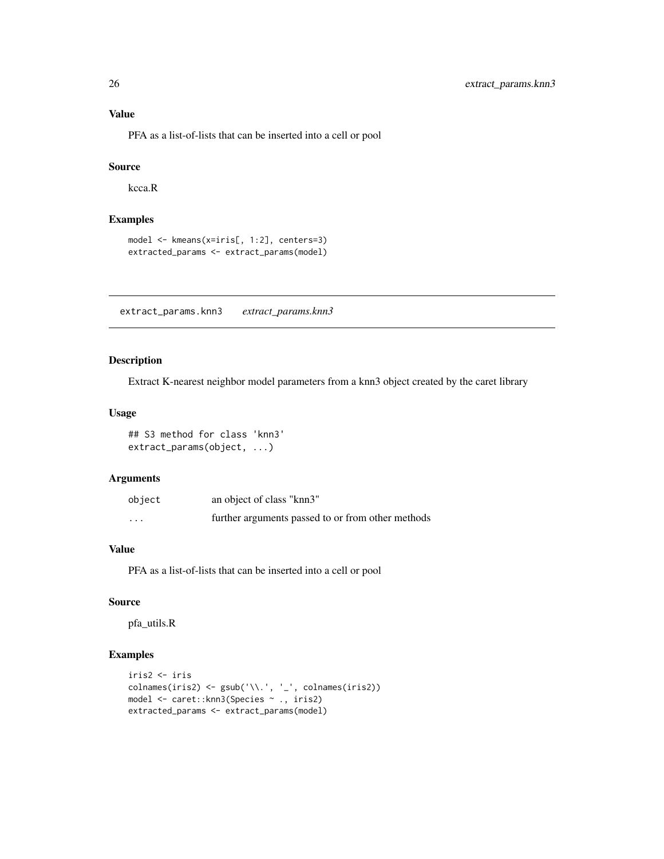### Value

PFA as a list-of-lists that can be inserted into a cell or pool

# Source

kcca.R

# Examples

```
model <- kmeans(x=iris[, 1:2], centers=3)
extracted_params <- extract_params(model)
```
<span id="page-25-1"></span>extract\_params.knn3 *extract\_params.knn3*

# Description

Extract K-nearest neighbor model parameters from a knn3 object created by the caret library

# Usage

## S3 method for class 'knn3' extract\_params(object, ...)

#### Arguments

| object  | an object of class "knn3"                         |
|---------|---------------------------------------------------|
| $\cdot$ | further arguments passed to or from other methods |

### Value

PFA as a list-of-lists that can be inserted into a cell or pool

# Source

pfa\_utils.R

```
iris2 <- iris
colnames(iris2) <- gsub('\\.', '_', colnames(iris2))
model <- caret::knn3(Species ~ ., iris2)
extracted_params <- extract_params(model)
```
<span id="page-25-0"></span>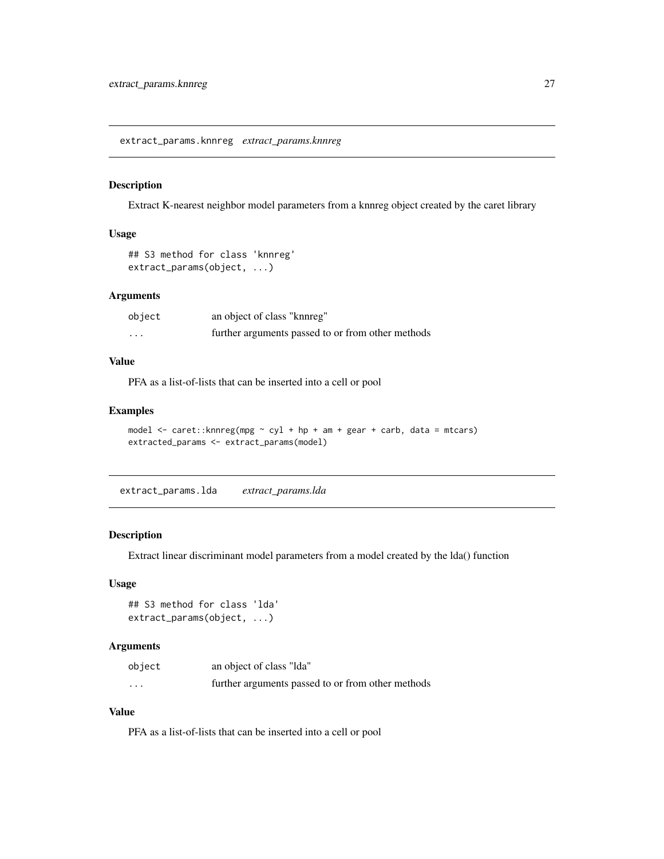<span id="page-26-0"></span>extract\_params.knnreg *extract\_params.knnreg*

# Description

Extract K-nearest neighbor model parameters from a knnreg object created by the caret library

#### Usage

```
## S3 method for class 'knnreg'
extract_params(object, ...)
```
# Arguments

| object   | an object of class "knoneg"                       |
|----------|---------------------------------------------------|
| $\cdots$ | further arguments passed to or from other methods |

# Value

PFA as a list-of-lists that can be inserted into a cell or pool

# Examples

```
model <- caret::knnreg(mpg ~ cyl + hp + am + gear + carb, data = mtcars)
extracted_params <- extract_params(model)
```
<span id="page-26-1"></span>extract\_params.lda *extract\_params.lda*

#### Description

Extract linear discriminant model parameters from a model created by the lda() function

### Usage

```
## S3 method for class 'lda'
extract_params(object, ...)
```
#### Arguments

| object   | an object of class "Ida"                          |
|----------|---------------------------------------------------|
| $\cdots$ | further arguments passed to or from other methods |

# Value

PFA as a list-of-lists that can be inserted into a cell or pool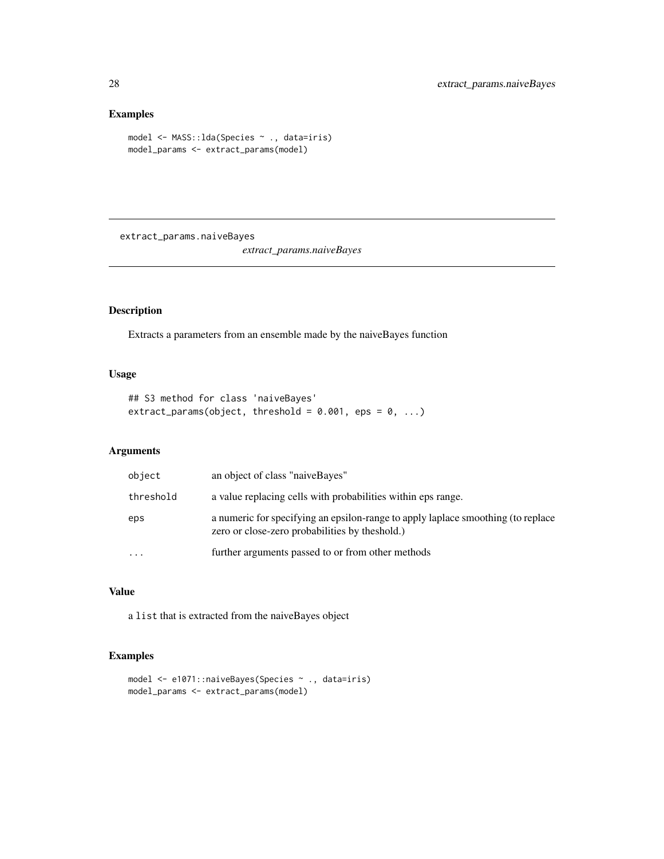# Examples

```
model <- MASS::lda(Species ~ ., data=iris)
model_params <- extract_params(model)
```
extract\_params.naiveBayes

*extract\_params.naiveBayes*

# Description

Extracts a parameters from an ensemble made by the naiveBayes function

# Usage

```
## S3 method for class 'naiveBayes'
extract_params(object, threshold = 0.001, eps = 0, ...)
```
# Arguments

| object    | an object of class "naiveBayes"                                                                                                     |
|-----------|-------------------------------------------------------------------------------------------------------------------------------------|
| threshold | a value replacing cells with probabilities within eps range.                                                                        |
| eps       | a numeric for specifying an epsilon-range to apply laplace smoothing (to replace<br>zero or close-zero probabilities by the shold.) |
| $\cdots$  | further arguments passed to or from other methods                                                                                   |

# Value

a list that is extracted from the naiveBayes object

```
model <- e1071::naiveBayes(Species ~ ., data=iris)
model_params <- extract_params(model)
```
<span id="page-27-0"></span>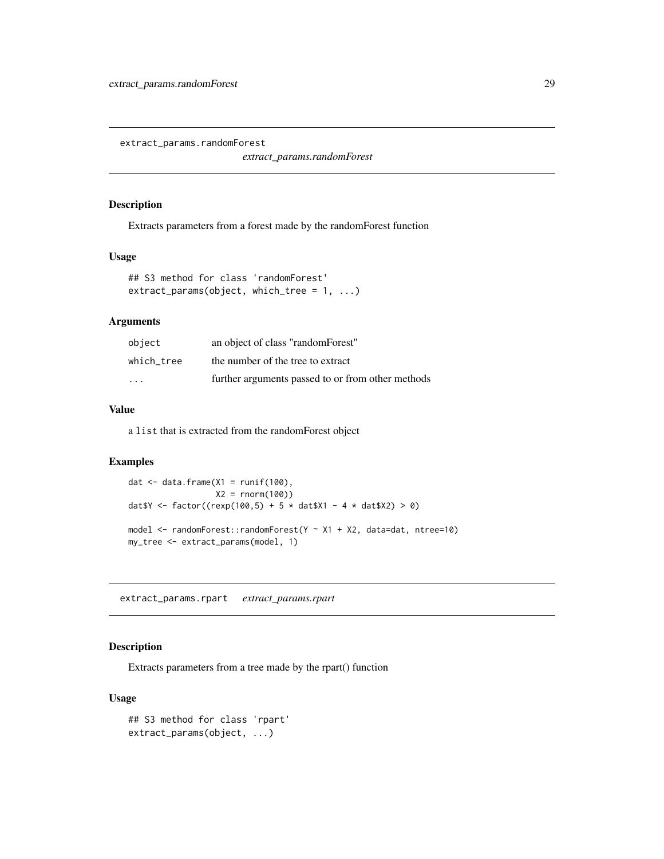<span id="page-28-0"></span>extract\_params.randomForest

*extract\_params.randomForest*

### Description

Extracts parameters from a forest made by the randomForest function

# Usage

```
## S3 method for class 'randomForest'
extract_params(object, which_tree = 1, ...)
```
# Arguments

| object                  | an object of class "randomForest"                 |
|-------------------------|---------------------------------------------------|
| which tree              | the number of the tree to extract                 |
| $\cdot$ $\cdot$ $\cdot$ | further arguments passed to or from other methods |

#### Value

a list that is extracted from the randomForest object

### Examples

```
dat \leq data.frame(X1 = runif(100),
                  X2 = rnorm(100)dat Y \leftarrow factor((rexp(100, 5) + 5 * data)x1 - 4 * data)x2) > 0model <- randomForest::randomForest(Y ~ X1 + X2, data=dat, ntree=10)
my_tree <- extract_params(model, 1)
```
extract\_params.rpart *extract\_params.rpart*

# Description

Extracts parameters from a tree made by the rpart() function

### Usage

```
## S3 method for class 'rpart'
extract_params(object, ...)
```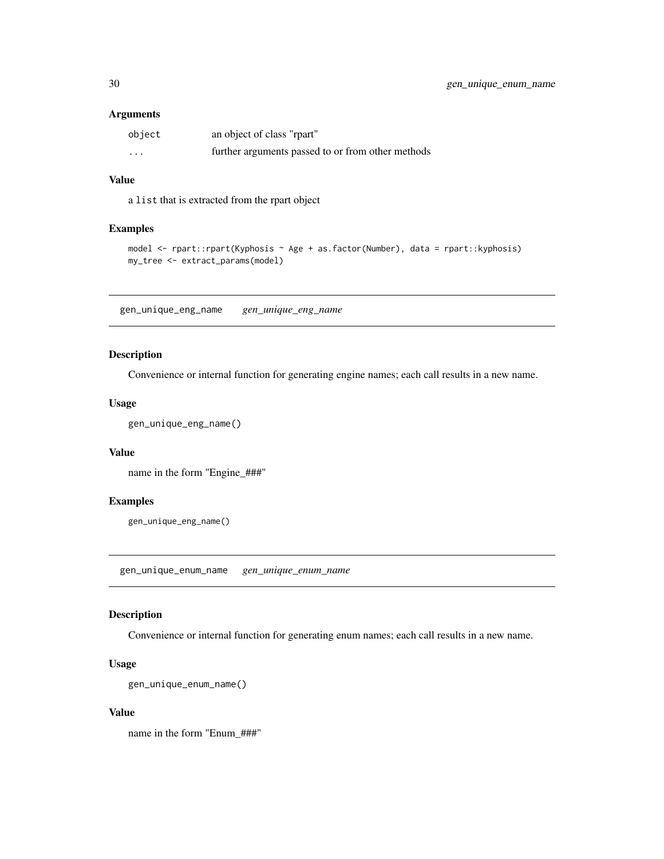### <span id="page-29-0"></span>Arguments

| object | an object of class "rpart"                        |
|--------|---------------------------------------------------|
| .      | further arguments passed to or from other methods |

### Value

a list that is extracted from the rpart object

### Examples

```
model <- rpart::rpart(Kyphosis ~ Age + as.factor(Number), data = rpart::kyphosis)
my_tree <- extract_params(model)
```
gen\_unique\_eng\_name *gen\_unique\_eng\_name*

### Description

Convenience or internal function for generating engine names; each call results in a new name.

#### Usage

```
gen_unique_eng_name()
```
#### Value

name in the form "Engine\_###"

### Examples

gen\_unique\_eng\_name()

<span id="page-29-1"></span>gen\_unique\_enum\_name *gen\_unique\_enum\_name*

# Description

Convenience or internal function for generating enum names; each call results in a new name.

# Usage

```
gen_unique_enum_name()
```
#### Value

name in the form "Enum\_###"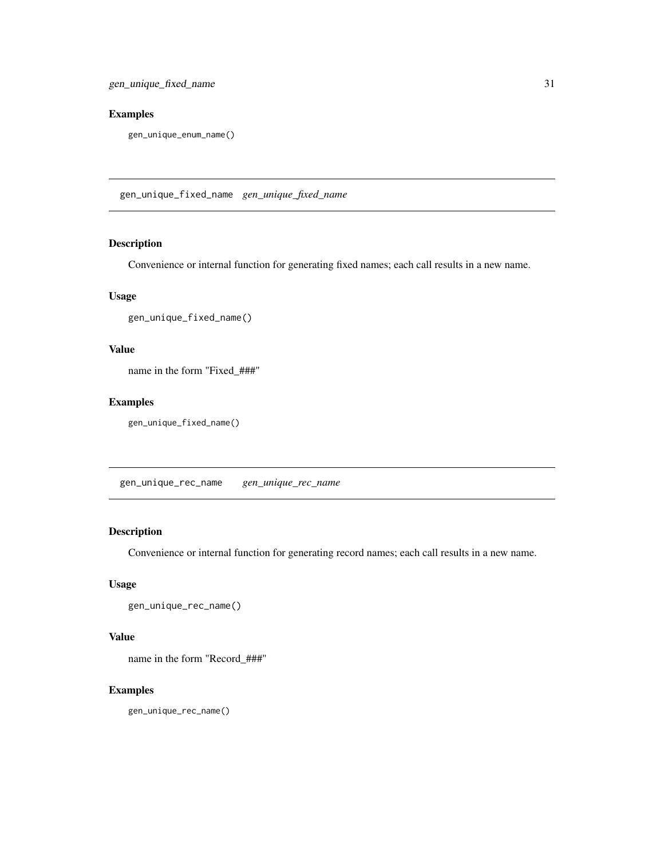# <span id="page-30-0"></span>Examples

gen\_unique\_enum\_name()

<span id="page-30-1"></span>gen\_unique\_fixed\_name *gen\_unique\_fixed\_name*

# Description

Convenience or internal function for generating fixed names; each call results in a new name.

# Usage

```
gen_unique_fixed_name()
```
### Value

name in the form "Fixed\_###"

# Examples

gen\_unique\_fixed\_name()

gen\_unique\_rec\_name *gen\_unique\_rec\_name*

# Description

Convenience or internal function for generating record names; each call results in a new name.

# Usage

```
gen_unique_rec_name()
```
#### Value

name in the form "Record\_###"

# Examples

gen\_unique\_rec\_name()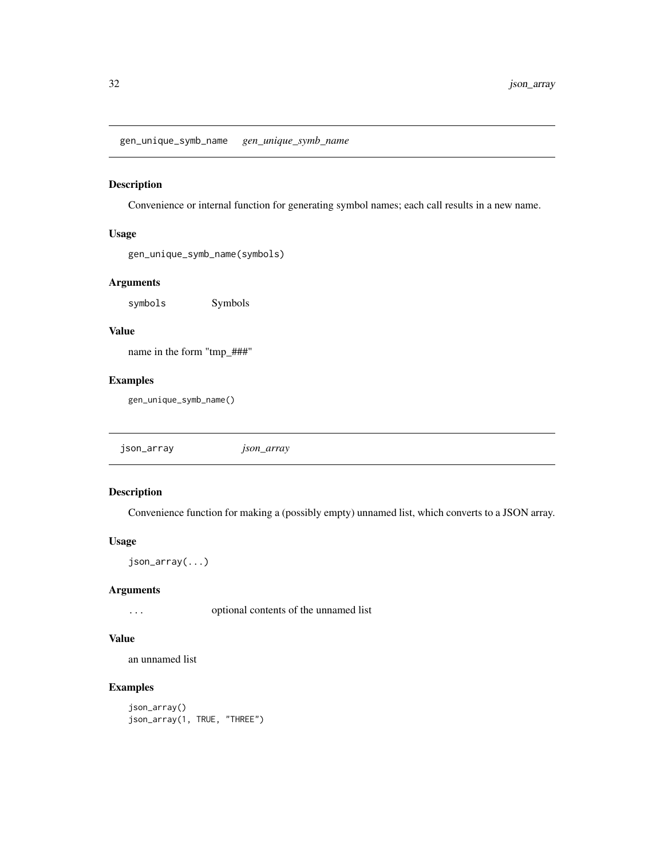<span id="page-31-0"></span>gen\_unique\_symb\_name *gen\_unique\_symb\_name*

### Description

Convenience or internal function for generating symbol names; each call results in a new name.

### Usage

gen\_unique\_symb\_name(symbols)

# Arguments

symbols Symbols

# Value

name in the form "tmp\_###"

#### Examples

gen\_unique\_symb\_name()

| json_array | <i>Json_array</i> |  |
|------------|-------------------|--|
|            |                   |  |

# Description

Convenience function for making a (possibly empty) unnamed list, which converts to a JSON array.

#### Usage

```
json_array(...)
```
# Arguments

... optional contents of the unnamed list

# Value

an unnamed list

```
json_array()
json_array(1, TRUE, "THREE")
```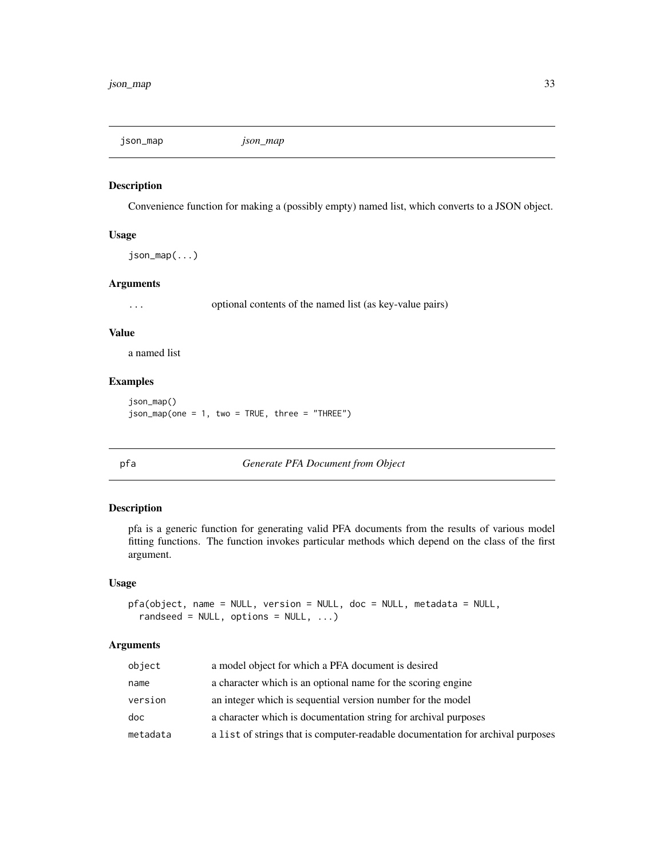<span id="page-32-0"></span>json\_map *json\_map*

#### Description

Convenience function for making a (possibly empty) named list, which converts to a JSON object.

#### Usage

json\_map(...)

#### Arguments

... optional contents of the named list (as key-value pairs)

#### Value

a named list

# Examples

json\_map() json\_map(one = 1, two = TRUE, three = "THREE")

pfa *Generate PFA Document from Object*

# Description

pfa is a generic function for generating valid PFA documents from the results of various model fitting functions. The function invokes particular methods which depend on the class of the first argument.

#### Usage

```
pfa(object, name = NULL, version = NULL, doc = NULL, metadata = NULL,
  randseed = NULL, options = NULL, ...)
```

| object   | a model object for which a PFA document is desired                              |
|----------|---------------------------------------------------------------------------------|
| name     | a character which is an optional name for the scoring engine                    |
| version  | an integer which is sequential version number for the model                     |
| doc      | a character which is documentation string for archival purposes                 |
| metadata | a list of strings that is computer-readable documentation for archival purposes |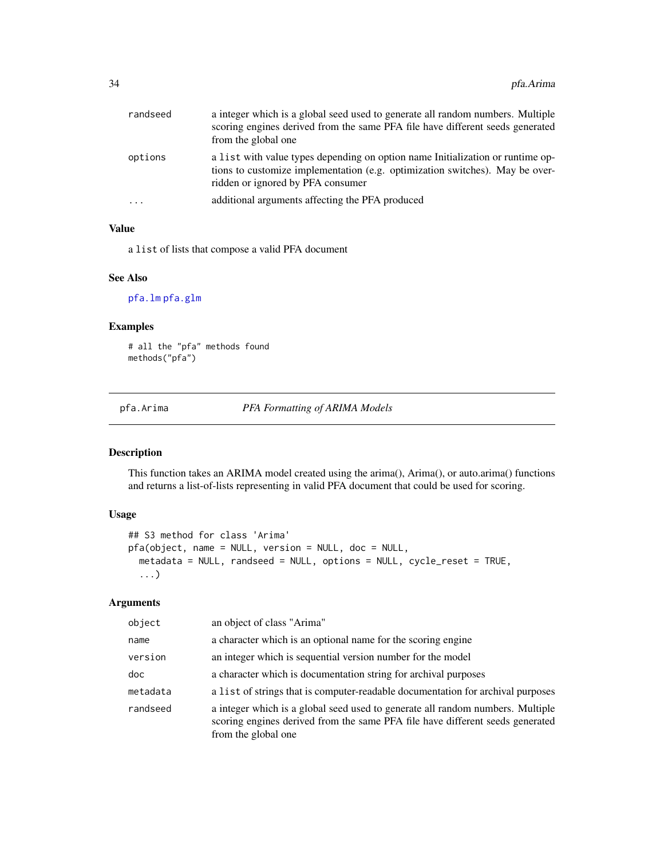<span id="page-33-0"></span>

| randseed  | a integer which is a global seed used to generate all random numbers. Multiple<br>scoring engines derived from the same PFA file have different seeds generated<br>from the global one              |
|-----------|-----------------------------------------------------------------------------------------------------------------------------------------------------------------------------------------------------|
| options   | a list with value types depending on option name Initialization or runtime op-<br>tions to customize implementation (e.g. optimization switches). May be over-<br>ridden or ignored by PFA consumer |
| $\ddotsc$ | additional arguments affecting the PFA produced                                                                                                                                                     |

### Value

a list of lists that compose a valid PFA document

#### See Also

[pfa.lm](#page-52-1) [pfa.glm](#page-39-1)

# Examples

# all the "pfa" methods found methods("pfa")

pfa.Arima *PFA Formatting of ARIMA Models*

# Description

This function takes an ARIMA model created using the arima(), Arima(), or auto.arima() functions and returns a list-of-lists representing in valid PFA document that could be used for scoring.

### Usage

```
## S3 method for class 'Arima'
pfa(object, name = NULL, version = NULL, doc = NULL,
 metadata = NULL, randseed = NULL, options = NULL, cycle_reset = TRUE,
  ...)
```

| object   | an object of class "Arima"                                                                                                                                                             |
|----------|----------------------------------------------------------------------------------------------------------------------------------------------------------------------------------------|
| name     | a character which is an optional name for the scoring engine                                                                                                                           |
| version  | an integer which is sequential version number for the model                                                                                                                            |
| doc      | a character which is documentation string for archival purposes                                                                                                                        |
| metadata | a list of strings that is computer-readable documentation for archival purposes                                                                                                        |
| randseed | a integer which is a global seed used to generate all random numbers. Multiple<br>scoring engines derived from the same PFA file have different seeds generated<br>from the global one |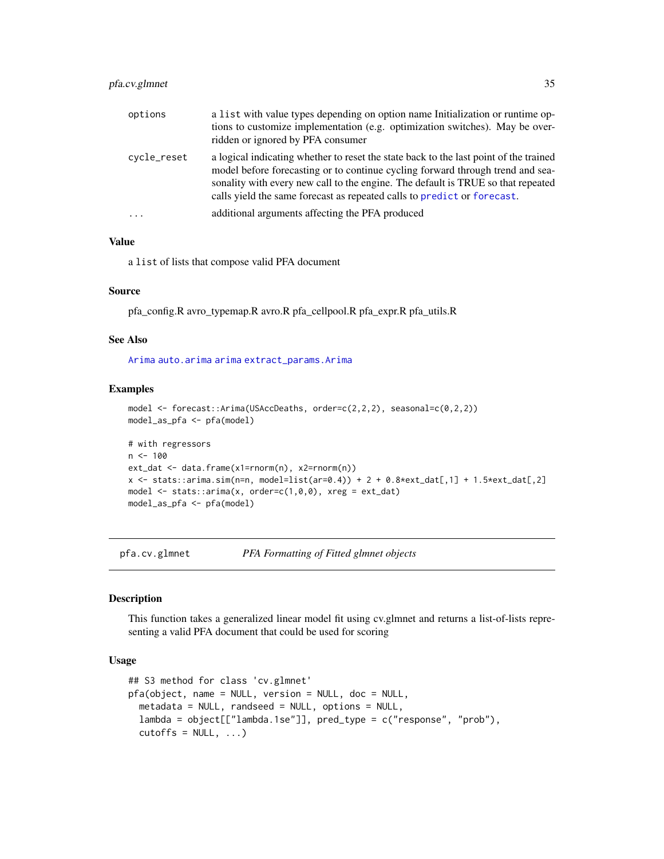# <span id="page-34-0"></span>pfa.cv.glmnet 35

| options     | a list with value types depending on option name Initialization or runtime op-<br>tions to customize implementation (e.g. optimization switches). May be over-<br>ridden or ignored by PFA consumer                                                                                                                                    |
|-------------|----------------------------------------------------------------------------------------------------------------------------------------------------------------------------------------------------------------------------------------------------------------------------------------------------------------------------------------|
| cycle_reset | a logical indicating whether to reset the state back to the last point of the trained<br>model before forecasting or to continue cycling forward through trend and sea-<br>sonality with every new call to the engine. The default is TRUE so that repeated<br>calls yield the same forecast as repeated calls to predict or forecast. |
| $\cdot$     | additional arguments affecting the PFA produced                                                                                                                                                                                                                                                                                        |

### Value

a list of lists that compose valid PFA document

#### Source

pfa\_config.R avro\_typemap.R avro.R pfa\_cellpool.R pfa\_expr.R pfa\_utils.R

### See Also

[Arima](#page-0-0) [auto.arima](#page-0-0) [arima](#page-0-0) [extract\\_params.Arima](#page-17-1)

#### Examples

```
model <- forecast::Arima(USAccDeaths, order=c(2,2,2), seasonal=c(0,2,2))
model_as_pfa <- pfa(model)
```

```
# with regressors
n < - 100ext_dat <- data.frame(x1=rnorm(n), x2=rnorm(n))
x \le - stats::arima.sim(n=n, model=list(ar=0.4)) + 2 + 0.8*ext_dat[,1] + 1.5*ext_dat[,2]
model \le stats:: arima(x, order=c(1,0,0), xreg = ext_dat)
model_as_pfa <- pfa(model)
```
pfa.cv.glmnet *PFA Formatting of Fitted glmnet objects*

#### Description

This function takes a generalized linear model fit using cv.glmnet and returns a list-of-lists representing a valid PFA document that could be used for scoring

### Usage

```
## S3 method for class 'cv.glmnet'
pfa(object, name = NULL, version = NULL, doc = NULL,
 metadata = NULL, randseed = NULL, options = NULL,
 lambda = object[["lambda.1se"]], pred_type = c("response", "prob"),
  cutoffs = NULL, ...)
```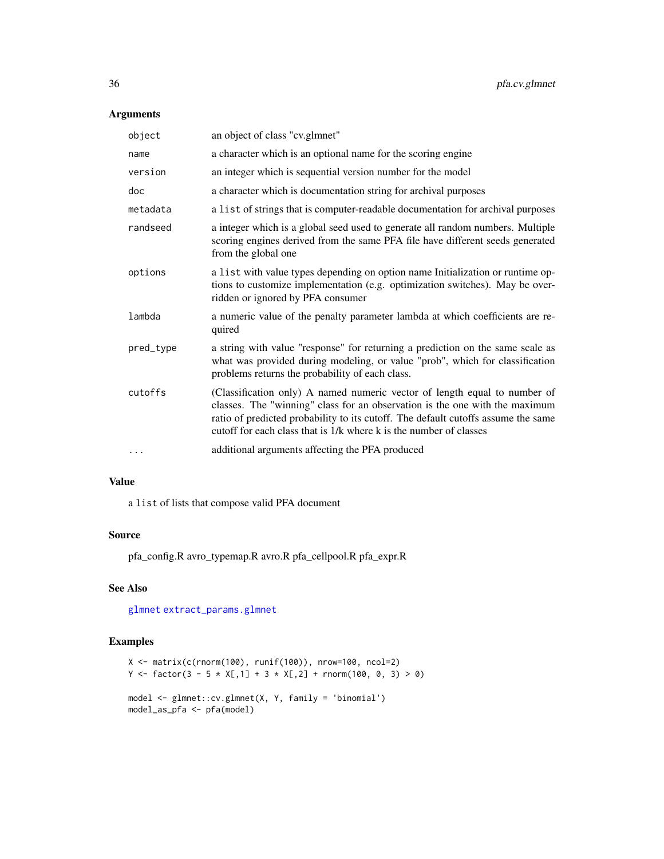# <span id="page-35-0"></span>Arguments

| object    | an object of class "cv.glmnet"                                                                                                                                                                                                                                                                                      |
|-----------|---------------------------------------------------------------------------------------------------------------------------------------------------------------------------------------------------------------------------------------------------------------------------------------------------------------------|
| name      | a character which is an optional name for the scoring engine                                                                                                                                                                                                                                                        |
| version   | an integer which is sequential version number for the model                                                                                                                                                                                                                                                         |
| doc       | a character which is documentation string for archival purposes                                                                                                                                                                                                                                                     |
| metadata  | a list of strings that is computer-readable documentation for archival purposes                                                                                                                                                                                                                                     |
| randseed  | a integer which is a global seed used to generate all random numbers. Multiple<br>scoring engines derived from the same PFA file have different seeds generated<br>from the global one                                                                                                                              |
| options   | a list with value types depending on option name Initialization or runtime op-<br>tions to customize implementation (e.g. optimization switches). May be over-<br>ridden or ignored by PFA consumer                                                                                                                 |
| lambda    | a numeric value of the penalty parameter lambda at which coefficients are re-<br>quired                                                                                                                                                                                                                             |
| pred_type | a string with value "response" for returning a prediction on the same scale as<br>what was provided during modeling, or value "prob", which for classification<br>problems returns the probability of each class.                                                                                                   |
| cutoffs   | (Classification only) A named numeric vector of length equal to number of<br>classes. The "winning" class for an observation is the one with the maximum<br>ratio of predicted probability to its cutoff. The default cutoffs assume the same<br>cutoff for each class that is 1/k where k is the number of classes |
| $\cdots$  | additional arguments affecting the PFA produced                                                                                                                                                                                                                                                                     |

#### Value

a list of lists that compose valid PFA document

# Source

pfa\_config.R avro\_typemap.R avro.R pfa\_cellpool.R pfa\_expr.R

# See Also

[glmnet](#page-0-0) [extract\\_params.glmnet](#page-21-1)

```
X <- matrix(c(rnorm(100), runif(100)), nrow=100, ncol=2)
Y <- factor(3 - 5 * X[,1] + 3 * X[,2] + rnorm(100, 0, 3) > 0)
model <- glmnet::cv.glmnet(X, Y, family = 'binomial')
model_as_pfa <- pfa(model)
```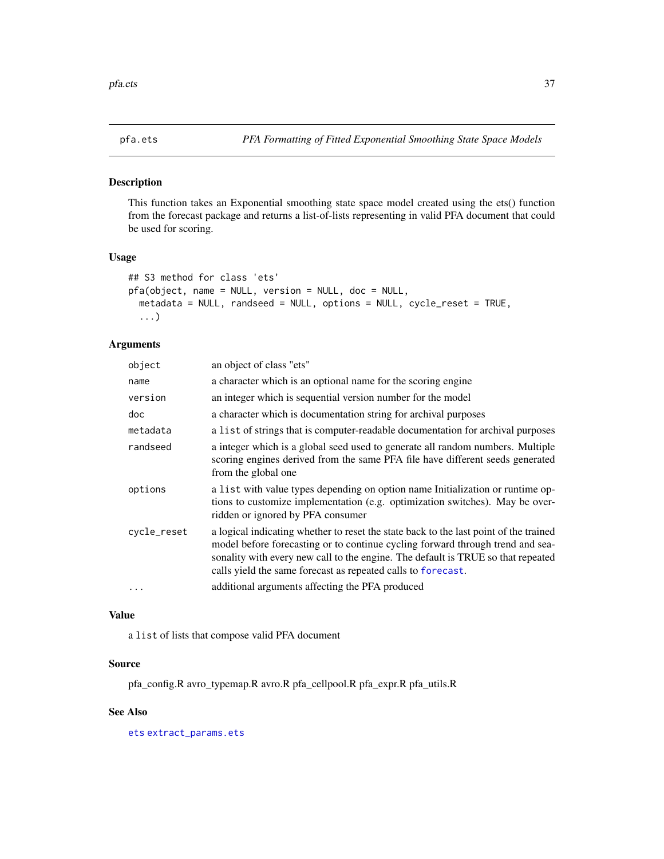#### <span id="page-36-1"></span><span id="page-36-0"></span>Description

This function takes an Exponential smoothing state space model created using the ets() function from the forecast package and returns a list-of-lists representing in valid PFA document that could be used for scoring.

#### Usage

```
## S3 method for class 'ets'
pfa(object, name = NULL, version = NULL, doc = NULL,
  metadata = NULL, randseed = NULL, options = NULL, cycle_reset = TRUE,
  ...)
```
### Arguments

| object      | an object of class "ets"                                                                                                                                                                                                                                                                                                    |
|-------------|-----------------------------------------------------------------------------------------------------------------------------------------------------------------------------------------------------------------------------------------------------------------------------------------------------------------------------|
| name        | a character which is an optional name for the scoring engine                                                                                                                                                                                                                                                                |
| version     | an integer which is sequential version number for the model                                                                                                                                                                                                                                                                 |
| doc         | a character which is documentation string for archival purposes                                                                                                                                                                                                                                                             |
| metadata    | a list of strings that is computer-readable documentation for archival purposes                                                                                                                                                                                                                                             |
| randseed    | a integer which is a global seed used to generate all random numbers. Multiple<br>scoring engines derived from the same PFA file have different seeds generated<br>from the global one                                                                                                                                      |
| options     | a list with value types depending on option name Initialization or runtime op-<br>tions to customize implementation (e.g. optimization switches). May be over-<br>ridden or ignored by PFA consumer                                                                                                                         |
| cycle_reset | a logical indicating whether to reset the state back to the last point of the trained<br>model before forecasting or to continue cycling forward through trend and sea-<br>sonality with every new call to the engine. The default is TRUE so that repeated<br>calls yield the same forecast as repeated calls to forecast. |
| .           | additional arguments affecting the PFA produced                                                                                                                                                                                                                                                                             |
|             |                                                                                                                                                                                                                                                                                                                             |

# Value

a list of lists that compose valid PFA document

#### Source

pfa\_config.R avro\_typemap.R avro.R pfa\_cellpool.R pfa\_expr.R pfa\_utils.R

#### See Also

[ets](#page-0-0) [extract\\_params.ets](#page-18-1)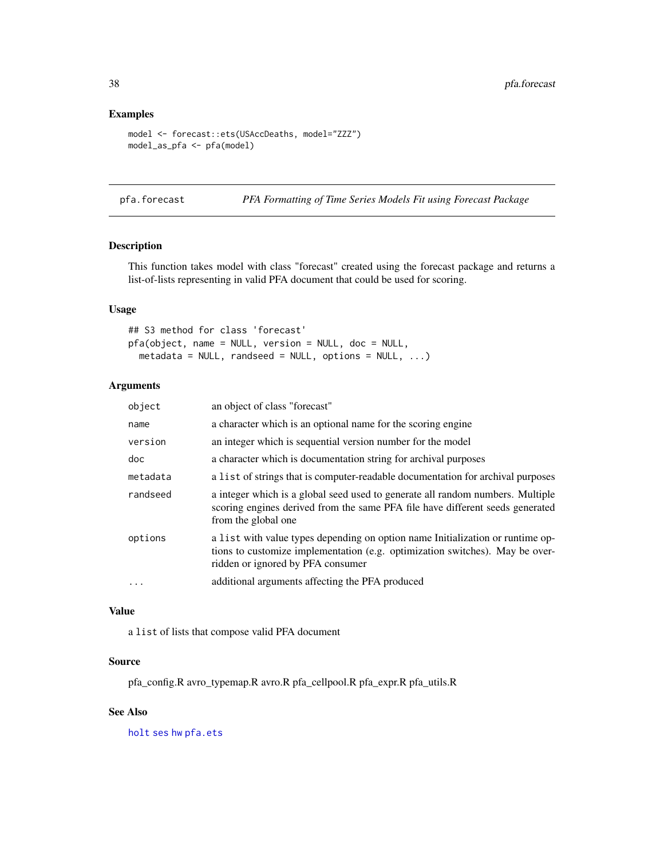# Examples

```
model <- forecast::ets(USAccDeaths, model="ZZZ")
model_as_pfa <- pfa(model)
```
pfa.forecast *PFA Formatting of Time Series Models Fit using Forecast Package*

# Description

This function takes model with class "forecast" created using the forecast package and returns a list-of-lists representing in valid PFA document that could be used for scoring.

# Usage

```
## S3 method for class 'forecast'
pfa(object, name = NULL, version = NULL, doc = NULL,
 metadata = NULL, randseed = NULL, options = NULL, ...)
```
# Arguments

| object            | an object of class "forecast"                                                                                                                                                                       |
|-------------------|-----------------------------------------------------------------------------------------------------------------------------------------------------------------------------------------------------|
| name              | a character which is an optional name for the scoring engine                                                                                                                                        |
| version           | an integer which is sequential version number for the model                                                                                                                                         |
| doc               | a character which is documentation string for archival purposes                                                                                                                                     |
| metadata          | a list of strings that is computer-readable documentation for archival purposes                                                                                                                     |
| randseed          | a integer which is a global seed used to generate all random numbers. Multiple<br>scoring engines derived from the same PFA file have different seeds generated<br>from the global one              |
| options           | a list with value types depending on option name Initialization or runtime op-<br>tions to customize implementation (e.g. optimization switches). May be over-<br>ridden or ignored by PFA consumer |
| $\cdot\cdot\cdot$ | additional arguments affecting the PFA produced                                                                                                                                                     |
|                   |                                                                                                                                                                                                     |

### Value

a list of lists that compose valid PFA document

### Source

pfa\_config.R avro\_typemap.R avro.R pfa\_cellpool.R pfa\_expr.R pfa\_utils.R

#### See Also

[holt](#page-0-0) [ses](#page-0-0) [hw](#page-0-0) [pfa.ets](#page-36-1)

<span id="page-37-0"></span>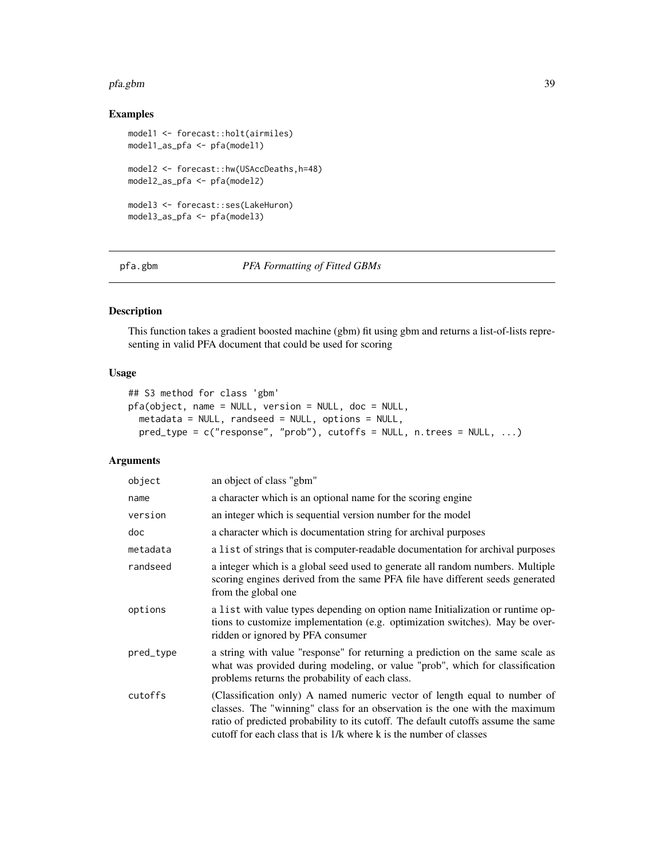#### <span id="page-38-0"></span>pfa.gbm 39

# Examples

```
model1 <- forecast::holt(airmiles)
model1_as_pfa <- pfa(model1)
model2 <- forecast::hw(USAccDeaths,h=48)
model2_as_pfa <- pfa(model2)
model3 <- forecast::ses(LakeHuron)
model3_as_pfa <- pfa(model3)
```
pfa.gbm *PFA Formatting of Fitted GBMs*

# Description

This function takes a gradient boosted machine (gbm) fit using gbm and returns a list-of-lists representing in valid PFA document that could be used for scoring

# Usage

```
## S3 method for class 'gbm'
pfa(object, name = NULL, version = NULL, doc = NULL,
 metadata = NULL, randseed = NULL, options = NULL,
 pred_type = c("response", "prob"), cutoffs = NULL, n.trees = NULL, ...)
```

| object    | an object of class "gbm"                                                                                                                                                                                                                                                                                            |
|-----------|---------------------------------------------------------------------------------------------------------------------------------------------------------------------------------------------------------------------------------------------------------------------------------------------------------------------|
| name      | a character which is an optional name for the scoring engine                                                                                                                                                                                                                                                        |
| version   | an integer which is sequential version number for the model                                                                                                                                                                                                                                                         |
| doc       | a character which is documentation string for archival purposes                                                                                                                                                                                                                                                     |
| metadata  | a list of strings that is computer-readable documentation for archival purposes                                                                                                                                                                                                                                     |
| randseed  | a integer which is a global seed used to generate all random numbers. Multiple<br>scoring engines derived from the same PFA file have different seeds generated<br>from the global one                                                                                                                              |
| options   | a list with value types depending on option name Initialization or runtime op-<br>tions to customize implementation (e.g. optimization switches). May be over-<br>ridden or ignored by PFA consumer                                                                                                                 |
| pred_type | a string with value "response" for returning a prediction on the same scale as<br>what was provided during modeling, or value "prob", which for classification<br>problems returns the probability of each class.                                                                                                   |
| cutoffs   | (Classification only) A named numeric vector of length equal to number of<br>classes. The "winning" class for an observation is the one with the maximum<br>ratio of predicted probability to its cutoff. The default cutoffs assume the same<br>cutoff for each class that is 1/k where k is the number of classes |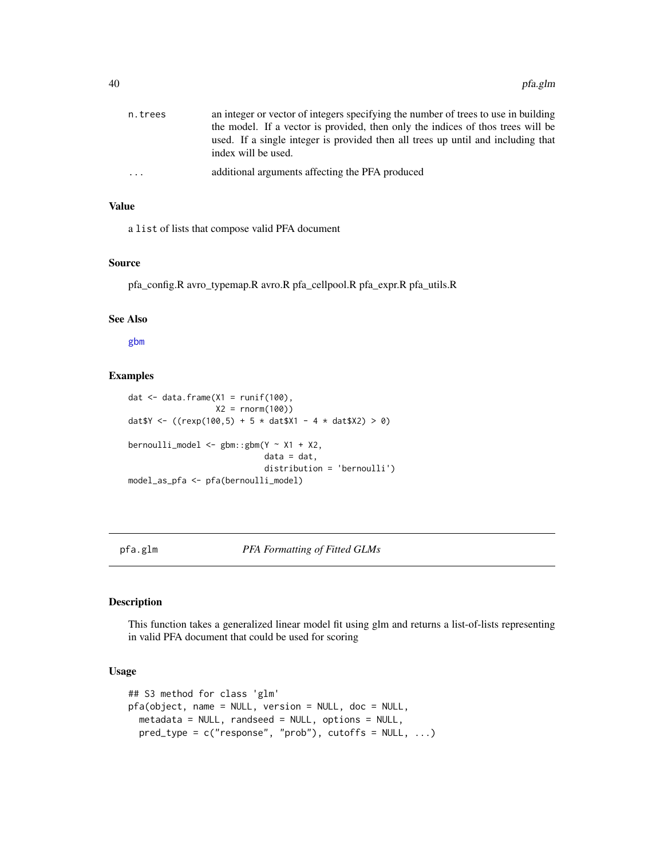<span id="page-39-0"></span>

| n.trees                 | an integer or vector of integers specifying the number of trees to use in building<br>the model. If a vector is provided, then only the indices of thos trees will be |
|-------------------------|-----------------------------------------------------------------------------------------------------------------------------------------------------------------------|
|                         | used. If a single integer is provided then all trees up until and including that<br>index will be used.                                                               |
| $\cdot$ $\cdot$ $\cdot$ | additional arguments affecting the PFA produced                                                                                                                       |

#### Value

a list of lists that compose valid PFA document

#### Source

pfa\_config.R avro\_typemap.R avro.R pfa\_cellpool.R pfa\_expr.R pfa\_utils.R

### See Also

[gbm](#page-0-0)

# Examples

```
dat \leq data.frame(X1 = runif(100),
                     X2 = rnorm(100)dat Y \leftarrow ((r \exp(100, 5) + 5 * d \text{at} \text{N1} - 4 * d \text{at} \text{N2}) > 0)bernoulli_model <- gbm::gbm(Y ~ X1 + X2,
                                 data = dat,distribution = 'bernoulli')
model_as_pfa <- pfa(bernoulli_model)
```
#### <span id="page-39-1"></span>pfa.glm *PFA Formatting of Fitted GLMs*

# Description

This function takes a generalized linear model fit using glm and returns a list-of-lists representing in valid PFA document that could be used for scoring

### Usage

```
## S3 method for class 'glm'
pfa(object, name = NULL, version = NULL, doc = NULL,
 metadata = NULL, randseed = NULL, options = NULL,
 pred_type = c("response", "prob"), cutoffs = NULL, ...)
```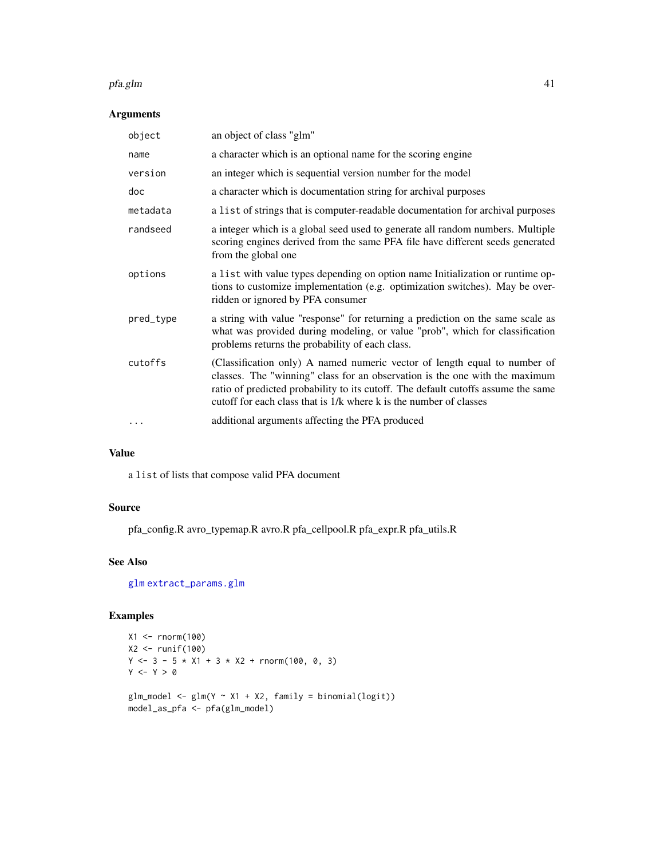#### <span id="page-40-0"></span>pfa.glm 41

# Arguments

| object    | an object of class "glm"                                                                                                                                                                                                                                                                                            |
|-----------|---------------------------------------------------------------------------------------------------------------------------------------------------------------------------------------------------------------------------------------------------------------------------------------------------------------------|
| name      | a character which is an optional name for the scoring engine                                                                                                                                                                                                                                                        |
| version   | an integer which is sequential version number for the model                                                                                                                                                                                                                                                         |
| doc       | a character which is documentation string for archival purposes                                                                                                                                                                                                                                                     |
| metadata  | a list of strings that is computer-readable documentation for archival purposes                                                                                                                                                                                                                                     |
| randseed  | a integer which is a global seed used to generate all random numbers. Multiple<br>scoring engines derived from the same PFA file have different seeds generated<br>from the global one                                                                                                                              |
| options   | a list with value types depending on option name Initialization or runtime op-<br>tions to customize implementation (e.g. optimization switches). May be over-<br>ridden or ignored by PFA consumer                                                                                                                 |
| pred_type | a string with value "response" for returning a prediction on the same scale as<br>what was provided during modeling, or value "prob", which for classification<br>problems returns the probability of each class.                                                                                                   |
| cutoffs   | (Classification only) A named numeric vector of length equal to number of<br>classes. The "winning" class for an observation is the one with the maximum<br>ratio of predicted probability to its cutoff. The default cutoffs assume the same<br>cutoff for each class that is 1/k where k is the number of classes |
|           | additional arguments affecting the PFA produced                                                                                                                                                                                                                                                                     |

# Value

a list of lists that compose valid PFA document

# Source

pfa\_config.R avro\_typemap.R avro.R pfa\_cellpool.R pfa\_expr.R pfa\_utils.R

# See Also

[glm](#page-0-0) [extract\\_params.glm](#page-20-1)

```
X1 <- rnorm(100)
X2 <- runif(100)
Y \le -3 - 5 \times X1 + 3 \times X2 + \text{rnorm}(100, 0, 3)Y \leftarrow Y > 0glm_model <- glm(Y ~ X1 + X2, family = binomial(logit))
model_as_pfa <- pfa(glm_model)
```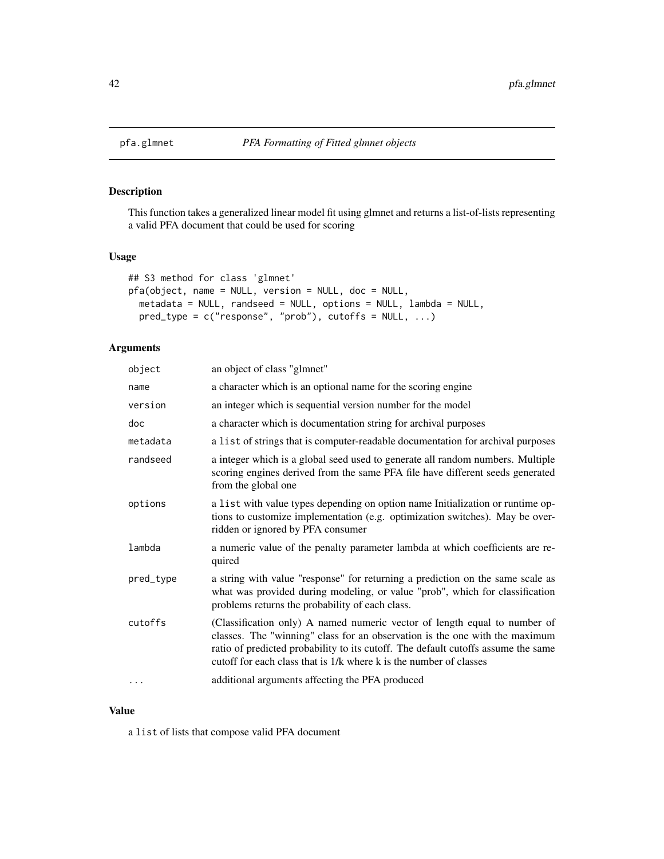# Description

This function takes a generalized linear model fit using glmnet and returns a list-of-lists representing a valid PFA document that could be used for scoring

# Usage

```
## S3 method for class 'glmnet'
pfa(object, name = NULL, version = NULL, doc = NULL,
 metadata = NULL, randseed = NULL, options = NULL, lambda = NULL,
 pred_type = c("response", "prob"), cutoffs = NULL, ...)
```
# Arguments

| object    | an object of class "glmnet"                                                                                                                                                                                                                                                                                         |
|-----------|---------------------------------------------------------------------------------------------------------------------------------------------------------------------------------------------------------------------------------------------------------------------------------------------------------------------|
| name      | a character which is an optional name for the scoring engine                                                                                                                                                                                                                                                        |
| version   | an integer which is sequential version number for the model                                                                                                                                                                                                                                                         |
| doc       | a character which is documentation string for archival purposes                                                                                                                                                                                                                                                     |
| metadata  | a list of strings that is computer-readable documentation for archival purposes                                                                                                                                                                                                                                     |
| randseed  | a integer which is a global seed used to generate all random numbers. Multiple<br>scoring engines derived from the same PFA file have different seeds generated<br>from the global one                                                                                                                              |
| options   | a list with value types depending on option name Initialization or runtime op-<br>tions to customize implementation (e.g. optimization switches). May be over-<br>ridden or ignored by PFA consumer                                                                                                                 |
| lambda    | a numeric value of the penalty parameter lambda at which coefficients are re-<br>quired                                                                                                                                                                                                                             |
| pred_type | a string with value "response" for returning a prediction on the same scale as<br>what was provided during modeling, or value "prob", which for classification<br>problems returns the probability of each class.                                                                                                   |
| cutoffs   | (Classification only) A named numeric vector of length equal to number of<br>classes. The "winning" class for an observation is the one with the maximum<br>ratio of predicted probability to its cutoff. The default cutoffs assume the same<br>cutoff for each class that is 1/k where k is the number of classes |
| .         | additional arguments affecting the PFA produced                                                                                                                                                                                                                                                                     |

# Value

a list of lists that compose valid PFA document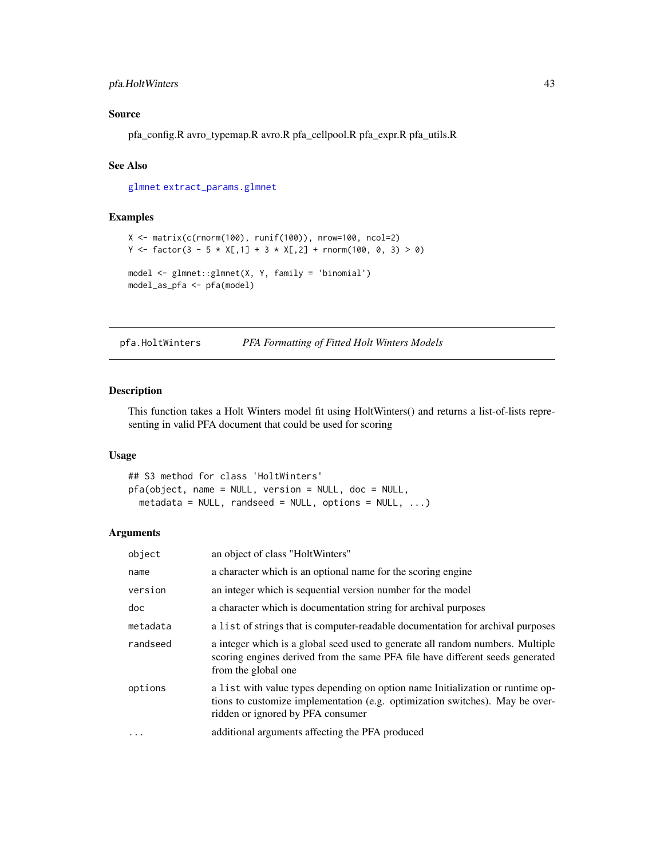# <span id="page-42-0"></span>pfa.HoltWinters 43

# Source

pfa\_config.R avro\_typemap.R avro.R pfa\_cellpool.R pfa\_expr.R pfa\_utils.R

### See Also

[glmnet](#page-0-0) [extract\\_params.glmnet](#page-21-1)

# Examples

```
X \leftarrow \text{matrix}(c(\text{rnorm}(100), \text{runif}(100)), \text{nrow=}100, \text{ncol=}2)Y <- factor(3 - 5 * X[,1] + 3 * X[,2] + rnorm(100, 0, 3) > 0)
model <- glmnet::glmnet(X, Y, family = 'binomial')
model_as_pfa <- pfa(model)
```
pfa.HoltWinters *PFA Formatting of Fitted Holt Winters Models*

### Description

This function takes a Holt Winters model fit using HoltWinters() and returns a list-of-lists representing in valid PFA document that could be used for scoring

#### Usage

```
## S3 method for class 'HoltWinters'
pfa(object, name = NULL, version = NULL, doc = NULL,
  metadata = NULL, randseed = NULL, options = NULL, \ldots)
```

| object   | an object of class "HoltWinters"                                                                                                                                                                    |
|----------|-----------------------------------------------------------------------------------------------------------------------------------------------------------------------------------------------------|
| name     | a character which is an optional name for the scoring engine                                                                                                                                        |
| version  | an integer which is sequential version number for the model                                                                                                                                         |
| doc      | a character which is documentation string for archival purposes                                                                                                                                     |
| metadata | a list of strings that is computer-readable documentation for archival purposes                                                                                                                     |
| randseed | a integer which is a global seed used to generate all random numbers. Multiple<br>scoring engines derived from the same PFA file have different seeds generated<br>from the global one              |
| options  | a list with value types depending on option name Initialization or runtime op-<br>tions to customize implementation (e.g. optimization switches). May be over-<br>ridden or ignored by PFA consumer |
| $\cdots$ | additional arguments affecting the PFA produced                                                                                                                                                     |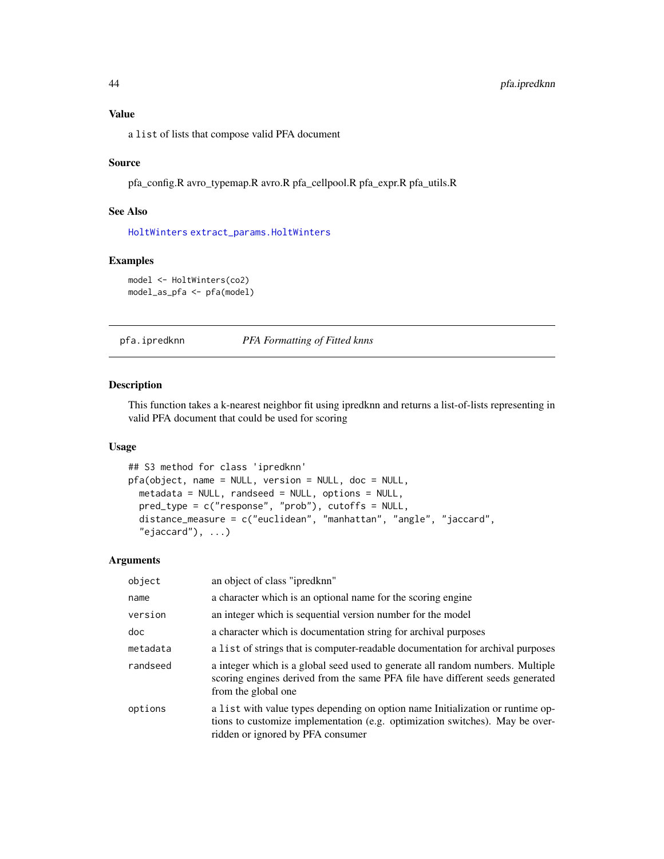# <span id="page-43-0"></span>Value

a list of lists that compose valid PFA document

#### Source

pfa\_config.R avro\_typemap.R avro.R pfa\_cellpool.R pfa\_expr.R pfa\_utils.R

#### See Also

[HoltWinters](#page-0-0) [extract\\_params.HoltWinters](#page-22-1)

#### Examples

model <- HoltWinters(co2) model\_as\_pfa <- pfa(model)

pfa.ipredknn *PFA Formatting of Fitted knns*

# Description

This function takes a k-nearest neighbor fit using ipredknn and returns a list-of-lists representing in valid PFA document that could be used for scoring

### Usage

```
## S3 method for class 'ipredknn'
pfa(object, name = NULL, version = NULL, doc = NULL,
 metadata = NULL, randseed = NULL, options = NULL,
 pred_type = c("response", "prob"), cutoffs = NULL,
 distance_measure = c("euclidean", "manhattan", "angle", "jaccard",
  "ejaccard"), ...)
```

| object   | an object of class "ipredknn"                                                                                                                                                                       |
|----------|-----------------------------------------------------------------------------------------------------------------------------------------------------------------------------------------------------|
| name     | a character which is an optional name for the scoring engine                                                                                                                                        |
| version  | an integer which is sequential version number for the model                                                                                                                                         |
| doc      | a character which is documentation string for archival purposes                                                                                                                                     |
| metadata | a list of strings that is computer-readable documentation for archival purposes                                                                                                                     |
| randseed | a integer which is a global seed used to generate all random numbers. Multiple<br>scoring engines derived from the same PFA file have different seeds generated<br>from the global one              |
| options  | a list with value types depending on option name Initialization or runtime op-<br>tions to customize implementation (e.g. optimization switches). May be over-<br>ridden or ignored by PFA consumer |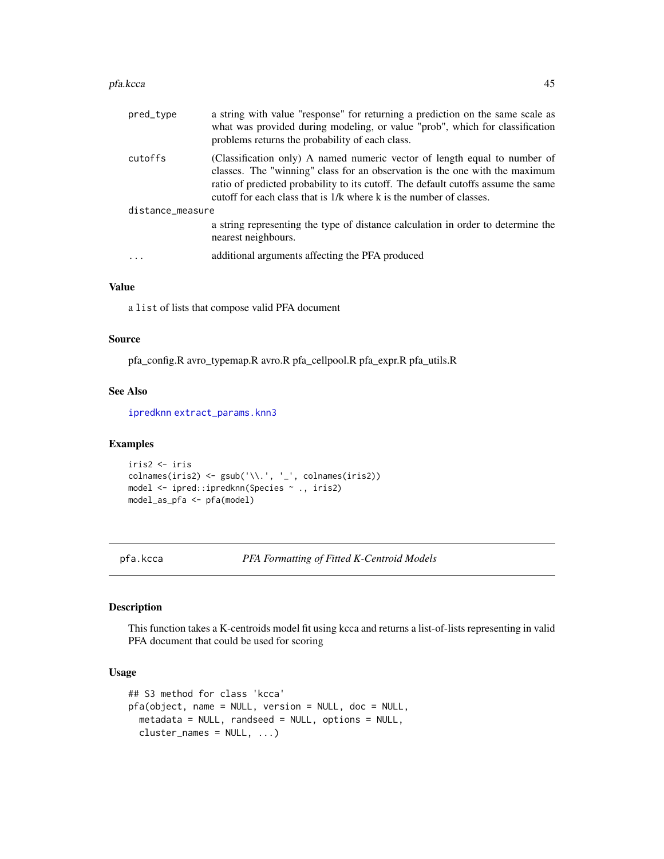#### <span id="page-44-0"></span>pfa.kcca 45

| pred_type        | a string with value "response" for returning a prediction on the same scale as<br>what was provided during modeling, or value "prob", which for classification<br>problems returns the probability of each class.                                                                                                    |  |
|------------------|----------------------------------------------------------------------------------------------------------------------------------------------------------------------------------------------------------------------------------------------------------------------------------------------------------------------|--|
| cutoffs          | (Classification only) A named numeric vector of length equal to number of<br>classes. The "winning" class for an observation is the one with the maximum<br>ratio of predicted probability to its cutoff. The default cutoffs assume the same<br>cutoff for each class that is 1/k where k is the number of classes. |  |
| distance_measure |                                                                                                                                                                                                                                                                                                                      |  |
|                  | a string representing the type of distance calculation in order to determine the<br>nearest neighbours.                                                                                                                                                                                                              |  |
| $\cdot$          | additional arguments affecting the PFA produced                                                                                                                                                                                                                                                                      |  |
|                  |                                                                                                                                                                                                                                                                                                                      |  |

# Value

a list of lists that compose valid PFA document

### Source

pfa\_config.R avro\_typemap.R avro.R pfa\_cellpool.R pfa\_expr.R pfa\_utils.R

#### See Also

[ipredknn](#page-0-0) [extract\\_params.knn3](#page-25-1)

#### Examples

```
iris2 <- iris
colnames(iris2) <- gsub('\\.', '_', colnames(iris2))
model <- ipred::ipredknn(Species ~ ., iris2)
model_as_pfa <- pfa(model)
```
<span id="page-44-1"></span>pfa.kcca *PFA Formatting of Fitted K-Centroid Models*

# Description

This function takes a K-centroids model fit using kcca and returns a list-of-lists representing in valid PFA document that could be used for scoring

#### Usage

```
## S3 method for class 'kcca'
pfa(object, name = NULL, version = NULL, doc = NULL,
 metadata = NULL, randseed = NULL, options = NULL,
 cluster_names = NULL, ...)
```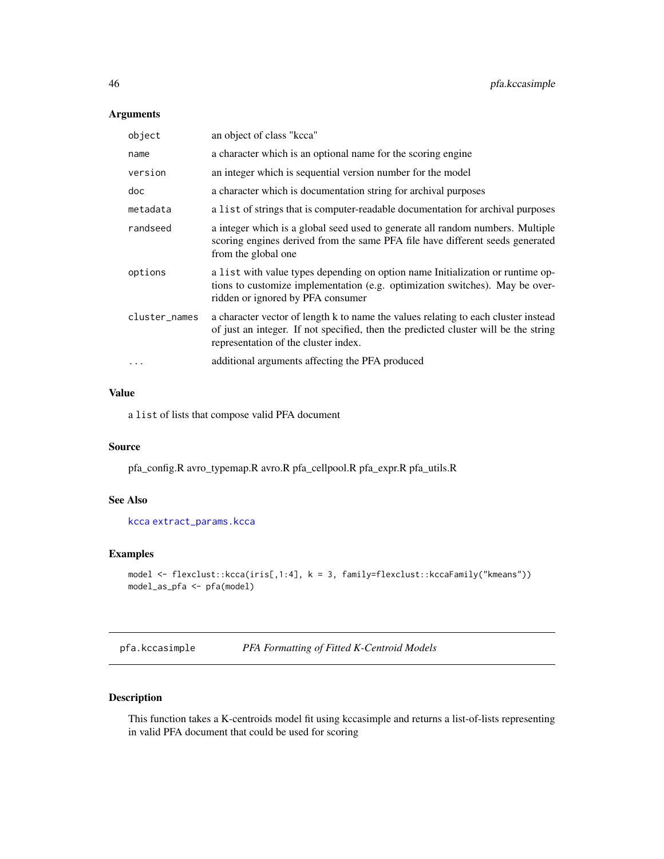# <span id="page-45-0"></span>Arguments

| object        | an object of class "kcca"                                                                                                                                                                                         |
|---------------|-------------------------------------------------------------------------------------------------------------------------------------------------------------------------------------------------------------------|
| name          | a character which is an optional name for the scoring engine                                                                                                                                                      |
| version       | an integer which is sequential version number for the model                                                                                                                                                       |
| doc           | a character which is documentation string for archival purposes                                                                                                                                                   |
| metadata      | a list of strings that is computer-readable documentation for archival purposes                                                                                                                                   |
| randseed      | a integer which is a global seed used to generate all random numbers. Multiple<br>scoring engines derived from the same PFA file have different seeds generated<br>from the global one                            |
| options       | a list with value types depending on option name Initialization or runtime op-<br>tions to customize implementation (e.g. optimization switches). May be over-<br>ridden or ignored by PFA consumer               |
| cluster_names | a character vector of length k to name the values relating to each cluster instead<br>of just an integer. If not specified, then the predicted cluster will be the string<br>representation of the cluster index. |
| .             | additional arguments affecting the PFA produced                                                                                                                                                                   |
|               |                                                                                                                                                                                                                   |

# Value

a list of lists that compose valid PFA document

# Source

pfa\_config.R avro\_typemap.R avro.R pfa\_cellpool.R pfa\_expr.R pfa\_utils.R

# See Also

[kcca](#page-0-0) [extract\\_params.kcca](#page-23-1)

# Examples

```
model <- flexclust::kcca(iris[,1:4], k = 3, family=flexclust::kccaFamily("kmeans"))
model_as_pfa <- pfa(model)
```
pfa.kccasimple *PFA Formatting of Fitted K-Centroid Models*

# Description

This function takes a K-centroids model fit using kccasimple and returns a list-of-lists representing in valid PFA document that could be used for scoring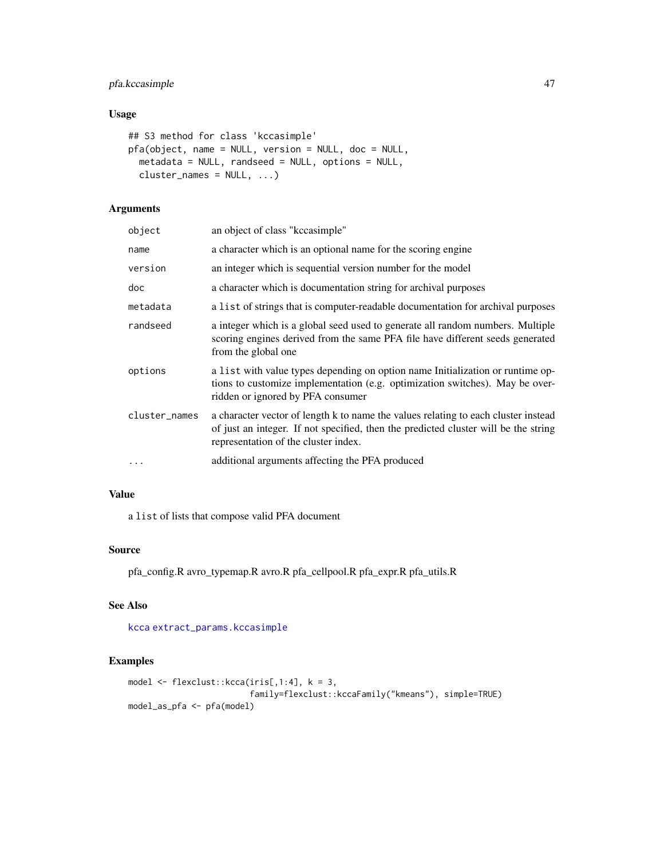# <span id="page-46-0"></span>pfa.kccasimple 47

# Usage

```
## S3 method for class 'kccasimple'
pfa(object, name = NULL, version = NULL, doc = NULL,
 metadata = NULL, randseed = NULL, options = NULL,
 cluster_names = NULL, ...)
```
# Arguments

| object        | an object of class "kecasimple"                                                                                                                                                                                   |
|---------------|-------------------------------------------------------------------------------------------------------------------------------------------------------------------------------------------------------------------|
| name          | a character which is an optional name for the scoring engine                                                                                                                                                      |
| version       | an integer which is sequential version number for the model                                                                                                                                                       |
| doc           | a character which is documentation string for archival purposes                                                                                                                                                   |
| metadata      | a list of strings that is computer-readable documentation for archival purposes                                                                                                                                   |
| randseed      | a integer which is a global seed used to generate all random numbers. Multiple<br>scoring engines derived from the same PFA file have different seeds generated<br>from the global one                            |
| options       | a list with value types depending on option name Initialization or runtime op-<br>tions to customize implementation (e.g. optimization switches). May be over-<br>ridden or ignored by PFA consumer               |
| cluster_names | a character vector of length k to name the values relating to each cluster instead<br>of just an integer. If not specified, then the predicted cluster will be the string<br>representation of the cluster index. |
| $\cdots$      | additional arguments affecting the PFA produced                                                                                                                                                                   |
|               |                                                                                                                                                                                                                   |

# Value

a list of lists that compose valid PFA document

# Source

pfa\_config.R avro\_typemap.R avro.R pfa\_cellpool.R pfa\_expr.R pfa\_utils.R

# See Also

[kcca](#page-0-0) [extract\\_params.kccasimple](#page-24-1)

```
model \leq flexclust::kcca(iris[,1:4], k = 3,family=flexclust::kccaFamily("kmeans"), simple=TRUE)
model_as_pfa <- pfa(model)
```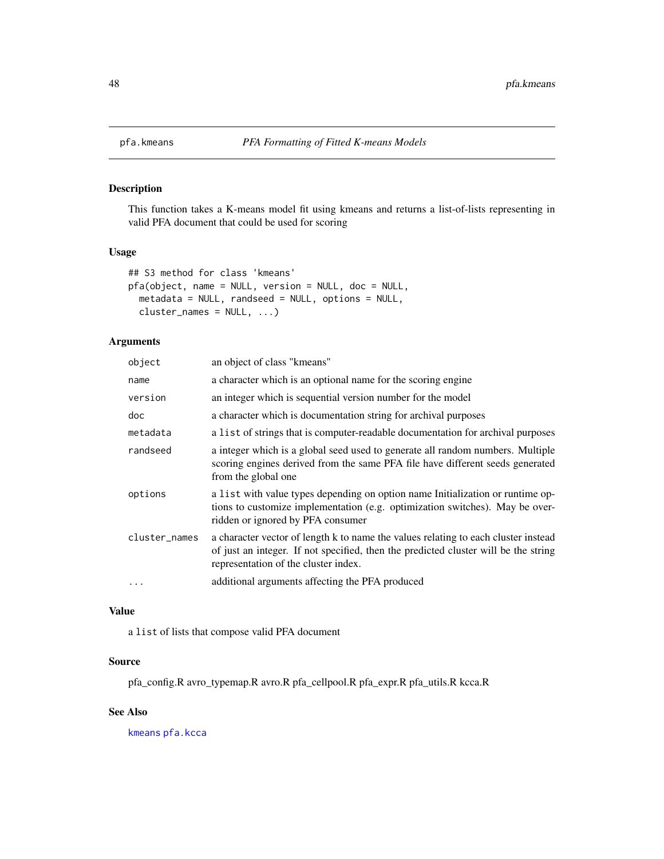<span id="page-47-0"></span>

#### Description

This function takes a K-means model fit using kmeans and returns a list-of-lists representing in valid PFA document that could be used for scoring

#### Usage

```
## S3 method for class 'kmeans'
pfa(object, name = NULL, version = NULL, doc = NULL,
 metadata = NULL, randseed = NULL, options = NULL,
 cluster\_names = NULL, ...
```
# Arguments

| object        | an object of class "kmeans"                                                                                                                                                                                       |
|---------------|-------------------------------------------------------------------------------------------------------------------------------------------------------------------------------------------------------------------|
| name          | a character which is an optional name for the scoring engine                                                                                                                                                      |
| version       | an integer which is sequential version number for the model                                                                                                                                                       |
| doc.          | a character which is documentation string for archival purposes                                                                                                                                                   |
| metadata      | a list of strings that is computer-readable documentation for archival purposes                                                                                                                                   |
| randseed      | a integer which is a global seed used to generate all random numbers. Multiple<br>scoring engines derived from the same PFA file have different seeds generated<br>from the global one                            |
| options       | a list with value types depending on option name Initialization or runtime op-<br>tions to customize implementation (e.g. optimization switches). May be over-<br>ridden or ignored by PFA consumer               |
| cluster_names | a character vector of length k to name the values relating to each cluster instead<br>of just an integer. If not specified, then the predicted cluster will be the string<br>representation of the cluster index. |
| $\ddots$      | additional arguments affecting the PFA produced                                                                                                                                                                   |

### Value

a list of lists that compose valid PFA document

# Source

pfa\_config.R avro\_typemap.R avro.R pfa\_cellpool.R pfa\_expr.R pfa\_utils.R kcca.R

# See Also

[kmeans](#page-0-0) [pfa.kcca](#page-44-1)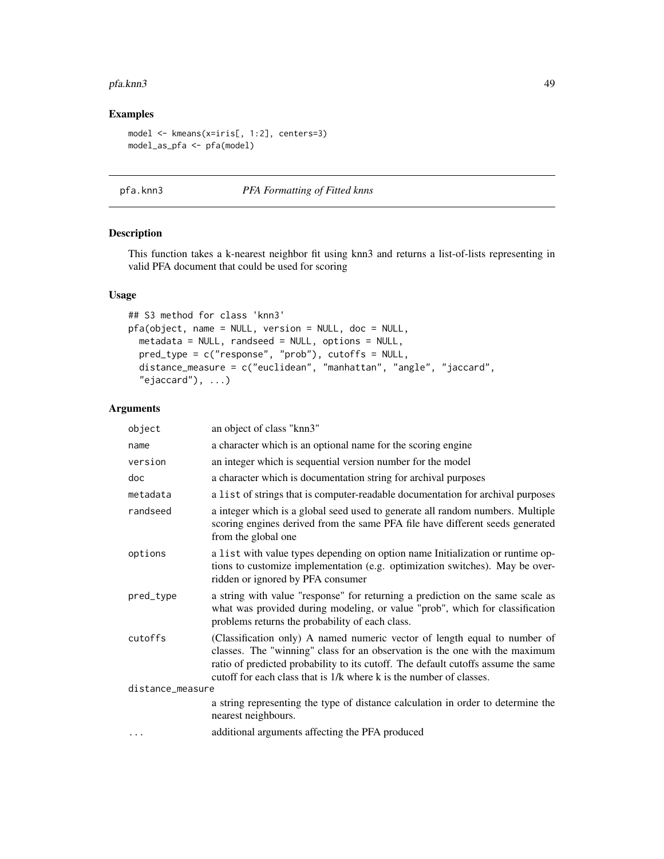#### <span id="page-48-0"></span>pfa.knn3 49

# Examples

```
model <- kmeans(x=iris[, 1:2], centers=3)
model_as_pfa <- pfa(model)
```
# pfa.knn3 *PFA Formatting of Fitted knns*

# Description

This function takes a k-nearest neighbor fit using knn3 and returns a list-of-lists representing in valid PFA document that could be used for scoring

### Usage

```
## S3 method for class 'knn3'
pfa(object, name = NULL, version = NULL, doc = NULL,
 metadata = NULL, randseed = NULL, options = NULL,
 pred_type = c("response", "prob"), cutoffs = NULL,
 distance_measure = c("euclidean", "manhattan", "angle", "jaccard",
  "ejaccard"), ...)
```

| object           | an object of class "knn3"                                                                                                                                                                                                                                                                                            |  |
|------------------|----------------------------------------------------------------------------------------------------------------------------------------------------------------------------------------------------------------------------------------------------------------------------------------------------------------------|--|
| name             | a character which is an optional name for the scoring engine                                                                                                                                                                                                                                                         |  |
| version          | an integer which is sequential version number for the model                                                                                                                                                                                                                                                          |  |
| doc              | a character which is documentation string for archival purposes                                                                                                                                                                                                                                                      |  |
| metadata         | a list of strings that is computer-readable documentation for archival purposes                                                                                                                                                                                                                                      |  |
| randseed         | a integer which is a global seed used to generate all random numbers. Multiple<br>scoring engines derived from the same PFA file have different seeds generated<br>from the global one                                                                                                                               |  |
| options          | a list with value types depending on option name Initialization or runtime op-<br>tions to customize implementation (e.g. optimization switches). May be over-<br>ridden or ignored by PFA consumer                                                                                                                  |  |
| pred_type        | a string with value "response" for returning a prediction on the same scale as<br>what was provided during modeling, or value "prob", which for classification<br>problems returns the probability of each class.                                                                                                    |  |
| cutoffs          | (Classification only) A named numeric vector of length equal to number of<br>classes. The "winning" class for an observation is the one with the maximum<br>ratio of predicted probability to its cutoff. The default cutoffs assume the same<br>cutoff for each class that is 1/k where k is the number of classes. |  |
| distance_measure |                                                                                                                                                                                                                                                                                                                      |  |
|                  | a string representing the type of distance calculation in order to determine the<br>nearest neighbours.                                                                                                                                                                                                              |  |
| $\cdots$         | additional arguments affecting the PFA produced                                                                                                                                                                                                                                                                      |  |
|                  |                                                                                                                                                                                                                                                                                                                      |  |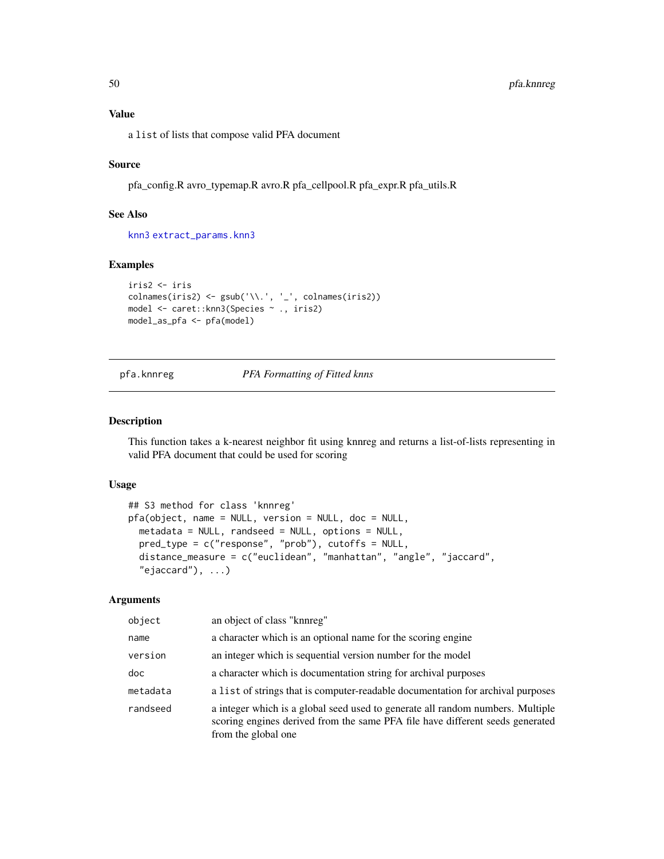<span id="page-49-0"></span>a list of lists that compose valid PFA document

# Source

pfa\_config.R avro\_typemap.R avro.R pfa\_cellpool.R pfa\_expr.R pfa\_utils.R

# See Also

[knn3](#page-0-0) [extract\\_params.knn3](#page-25-1)

# Examples

```
iris2 <- iris
\text{colnames}(iris2) \leq \text{gsub}('\\'.', '-'', \text{colnames}(iris2))model <- caret::knn3(Species ~ ., iris2)
model_as_pfa <- pfa(model)
```
pfa.knnreg *PFA Formatting of Fitted knns*

#### Description

This function takes a k-nearest neighbor fit using knnreg and returns a list-of-lists representing in valid PFA document that could be used for scoring

# Usage

```
## S3 method for class 'knnreg'
pfa(object, name = NULL, version = NULL, doc = NULL,
 metadata = NULL, randseed = NULL, options = NULL,
 pred_type = c("response", "prob"), cutoffs = NULL,
 distance_measure = c("euclidean", "manhattan", "angle", "jaccard",
  "ejaccard"), ...)
```

| object   | an object of class "knnreg"                                                                                                                                                            |
|----------|----------------------------------------------------------------------------------------------------------------------------------------------------------------------------------------|
| name     | a character which is an optional name for the scoring engine                                                                                                                           |
| version  | an integer which is sequential version number for the model                                                                                                                            |
| doc      | a character which is documentation string for archival purposes                                                                                                                        |
| metadata | a list of strings that is computer-readable documentation for archival purposes                                                                                                        |
| randseed | a integer which is a global seed used to generate all random numbers. Multiple<br>scoring engines derived from the same PFA file have different seeds generated<br>from the global one |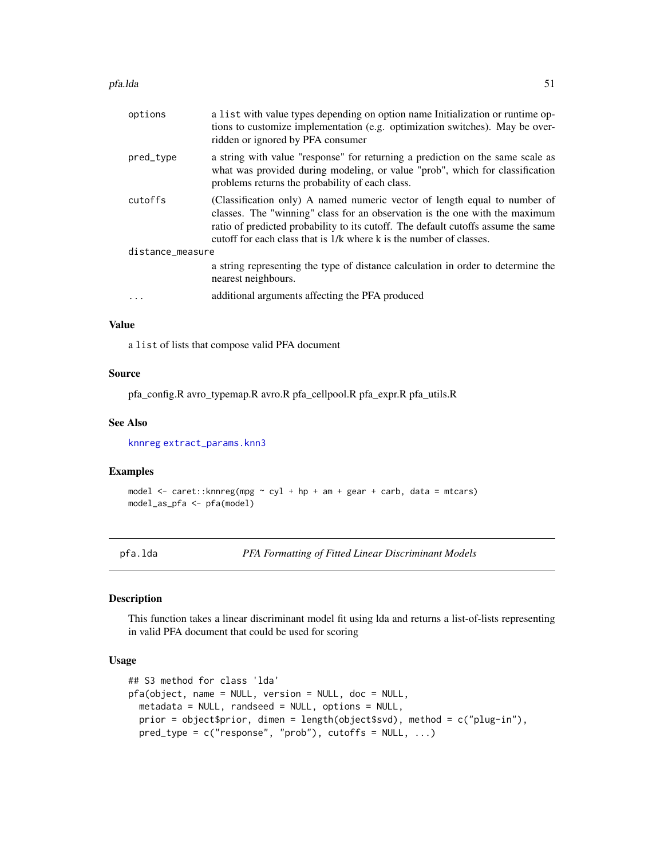#### <span id="page-50-0"></span>pfa.lda 51

| options          | a list with value types depending on option name Initialization or runtime op-<br>tions to customize implementation (e.g. optimization switches). May be over-<br>ridden or ignored by PFA consumer                                                                                                                  |
|------------------|----------------------------------------------------------------------------------------------------------------------------------------------------------------------------------------------------------------------------------------------------------------------------------------------------------------------|
| pred_type        | a string with value "response" for returning a prediction on the same scale as<br>what was provided during modeling, or value "prob", which for classification<br>problems returns the probability of each class.                                                                                                    |
| cutoffs          | (Classification only) A named numeric vector of length equal to number of<br>classes. The "winning" class for an observation is the one with the maximum<br>ratio of predicted probability to its cutoff. The default cutoffs assume the same<br>cutoff for each class that is 1/k where k is the number of classes. |
| distance_measure |                                                                                                                                                                                                                                                                                                                      |
|                  | a string representing the type of distance calculation in order to determine the<br>nearest neighbours.                                                                                                                                                                                                              |
|                  | additional arguments affecting the PFA produced                                                                                                                                                                                                                                                                      |

## Value

a list of lists that compose valid PFA document

#### Source

pfa\_config.R avro\_typemap.R avro.R pfa\_cellpool.R pfa\_expr.R pfa\_utils.R

#### See Also

[knnreg](#page-0-0) [extract\\_params.knn3](#page-25-1)

### Examples

```
model <- caret::knnreg(mpg ~ cyl + hp + am + gear + carb, data = mtcars)
model_as_pfa <- pfa(model)
```
pfa.lda *PFA Formatting of Fitted Linear Discriminant Models*

#### Description

This function takes a linear discriminant model fit using lda and returns a list-of-lists representing in valid PFA document that could be used for scoring

### Usage

```
## S3 method for class 'lda'
pfa(object, name = NULL, version = NULL, doc = NULL,
 metadata = NULL, randseed = NULL, options = NULL,
 prior = object$prior, dimen = length(object$svd), method = c("plug-in"),
 pred_type = c("response", "prob"), cutoffs = NULL, ...)
```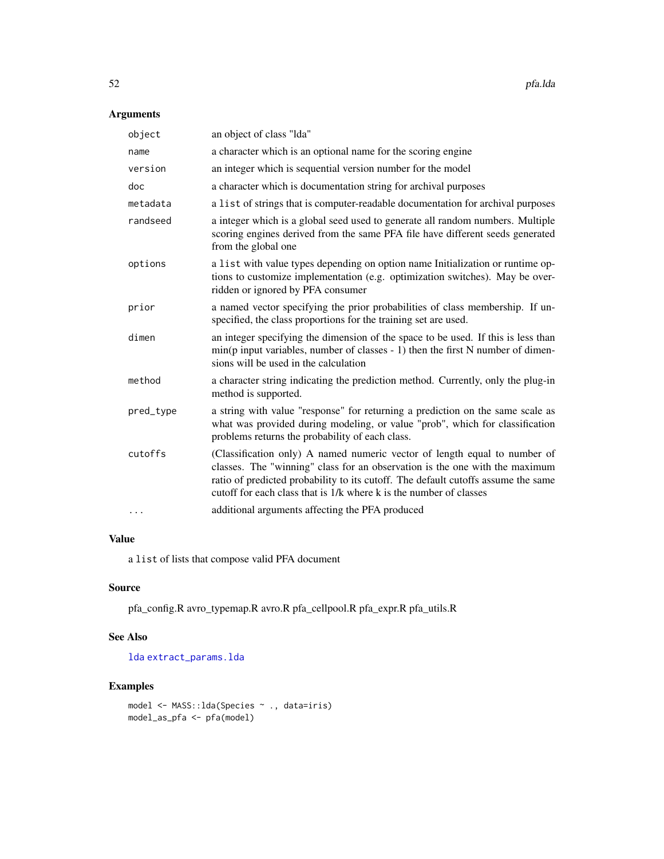# <span id="page-51-0"></span>Arguments

| object    | an object of class "Ida"                                                                                                                                                                                                                                                                                            |
|-----------|---------------------------------------------------------------------------------------------------------------------------------------------------------------------------------------------------------------------------------------------------------------------------------------------------------------------|
| name      | a character which is an optional name for the scoring engine                                                                                                                                                                                                                                                        |
| version   | an integer which is sequential version number for the model                                                                                                                                                                                                                                                         |
| doc       | a character which is documentation string for archival purposes                                                                                                                                                                                                                                                     |
| metadata  | a list of strings that is computer-readable documentation for archival purposes                                                                                                                                                                                                                                     |
| randseed  | a integer which is a global seed used to generate all random numbers. Multiple<br>scoring engines derived from the same PFA file have different seeds generated<br>from the global one                                                                                                                              |
| options   | a list with value types depending on option name Initialization or runtime op-<br>tions to customize implementation (e.g. optimization switches). May be over-<br>ridden or ignored by PFA consumer                                                                                                                 |
| prior     | a named vector specifying the prior probabilities of class membership. If un-<br>specified, the class proportions for the training set are used.                                                                                                                                                                    |
| dimen     | an integer specifying the dimension of the space to be used. If this is less than<br>$min(p$ input variables, number of classes - 1) then the first N number of dimen-<br>sions will be used in the calculation                                                                                                     |
| method    | a character string indicating the prediction method. Currently, only the plug-in<br>method is supported.                                                                                                                                                                                                            |
| pred_type | a string with value "response" for returning a prediction on the same scale as<br>what was provided during modeling, or value "prob", which for classification<br>problems returns the probability of each class.                                                                                                   |
| cutoffs   | (Classification only) A named numeric vector of length equal to number of<br>classes. The "winning" class for an observation is the one with the maximum<br>ratio of predicted probability to its cutoff. The default cutoffs assume the same<br>cutoff for each class that is 1/k where k is the number of classes |
| $\cdots$  | additional arguments affecting the PFA produced                                                                                                                                                                                                                                                                     |

# Value

a list of lists that compose valid PFA document

# Source

pfa\_config.R avro\_typemap.R avro.R pfa\_cellpool.R pfa\_expr.R pfa\_utils.R

### See Also

[lda](#page-0-0) [extract\\_params.lda](#page-26-1)

```
model <- MASS::lda(Species ~ ., data=iris)
model_as_pfa <- pfa(model)
```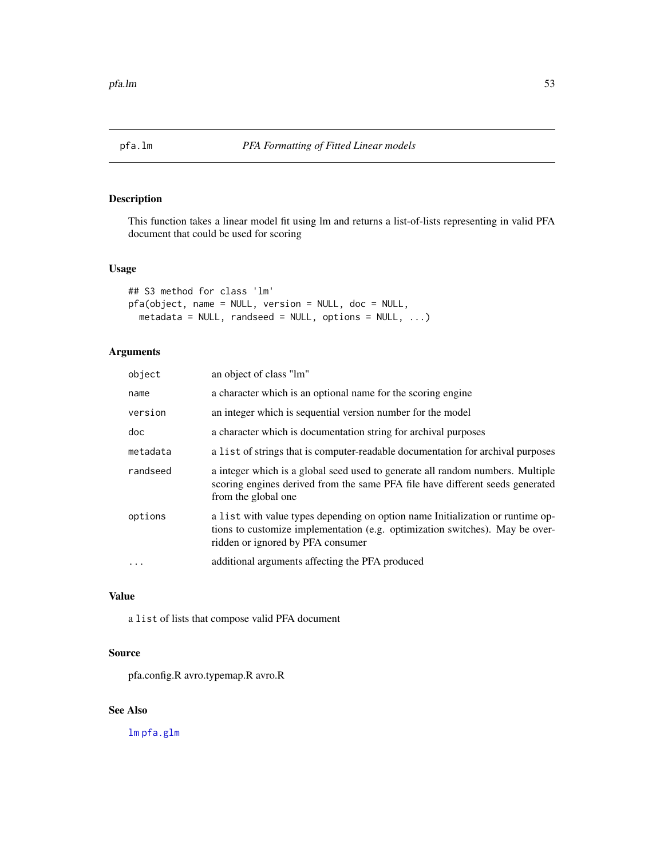<span id="page-52-1"></span><span id="page-52-0"></span>

# Description

This function takes a linear model fit using lm and returns a list-of-lists representing in valid PFA document that could be used for scoring

### Usage

```
## S3 method for class 'lm'
pfa(object, name = NULL, version = NULL, doc = NULL,
 metadata = NULL, randseed = NULL, options = NULL, \dots)
```
# Arguments

| object   | an object of class "lm"                                                                                                                                                                             |
|----------|-----------------------------------------------------------------------------------------------------------------------------------------------------------------------------------------------------|
| name     | a character which is an optional name for the scoring engine                                                                                                                                        |
| version  | an integer which is sequential version number for the model                                                                                                                                         |
| doc      | a character which is documentation string for archival purposes                                                                                                                                     |
| metadata | a list of strings that is computer-readable documentation for archival purposes                                                                                                                     |
| randseed | a integer which is a global seed used to generate all random numbers. Multiple<br>scoring engines derived from the same PFA file have different seeds generated<br>from the global one              |
| options  | a list with value types depending on option name Initialization or runtime op-<br>tions to customize implementation (e.g. optimization switches). May be over-<br>ridden or ignored by PFA consumer |
| $\cdot$  | additional arguments affecting the PFA produced                                                                                                                                                     |
|          |                                                                                                                                                                                                     |

# Value

a list of lists that compose valid PFA document

#### Source

pfa.config.R avro.typemap.R avro.R

# See Also

[lm](#page-0-0) [pfa.glm](#page-39-1)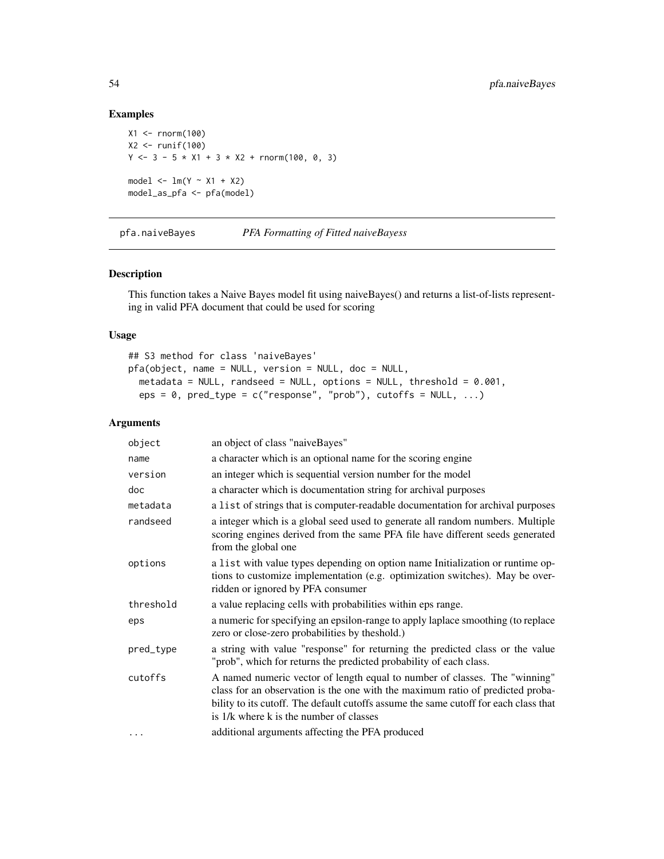# Examples

```
X1 <- rnorm(100)
X2 <- runif(100)
Y \le -3 - 5 \times X1 + 3 \times X2 + \text{rnorm}(100, 0, 3)model \leq -\ln(Y \sim X1 + X2)model_as_pfa <- pfa(model)
```
pfa.naiveBayes *PFA Formatting of Fitted naiveBayess*

### Description

This function takes a Naive Bayes model fit using naiveBayes() and returns a list-of-lists representing in valid PFA document that could be used for scoring

### Usage

```
## S3 method for class 'naiveBayes'
pfa(object, name = NULL, version = NULL, doc = NULL,
 metadata = NULL, randseed = NULL, options = NULL, threshold = 0.001,
 eps = 0, pred_type = c("response", "prob"), cutoffs = NULL, ...)
```

| object    | an object of class "naiveBayes"                                                                                                                                                                                                                                                                 |
|-----------|-------------------------------------------------------------------------------------------------------------------------------------------------------------------------------------------------------------------------------------------------------------------------------------------------|
| name      | a character which is an optional name for the scoring engine                                                                                                                                                                                                                                    |
| version   | an integer which is sequential version number for the model                                                                                                                                                                                                                                     |
| doc       | a character which is documentation string for archival purposes                                                                                                                                                                                                                                 |
| metadata  | a list of strings that is computer-readable documentation for archival purposes                                                                                                                                                                                                                 |
| randseed  | a integer which is a global seed used to generate all random numbers. Multiple<br>scoring engines derived from the same PFA file have different seeds generated<br>from the global one                                                                                                          |
| options   | a list with value types depending on option name Initialization or runtime op-<br>tions to customize implementation (e.g. optimization switches). May be over-<br>ridden or ignored by PFA consumer                                                                                             |
| threshold | a value replacing cells with probabilities within eps range.                                                                                                                                                                                                                                    |
| eps       | a numeric for specifying an epsilon-range to apply laplace smoothing (to replace<br>zero or close-zero probabilities by the shold.)                                                                                                                                                             |
| pred_type | a string with value "response" for returning the predicted class or the value<br>"prob", which for returns the predicted probability of each class.                                                                                                                                             |
| cutoffs   | A named numeric vector of length equal to number of classes. The "winning"<br>class for an observation is the one with the maximum ratio of predicted proba-<br>bility to its cutoff. The default cutoffs assume the same cutoff for each class that<br>is 1/k where k is the number of classes |
| .         | additional arguments affecting the PFA produced                                                                                                                                                                                                                                                 |

<span id="page-53-0"></span>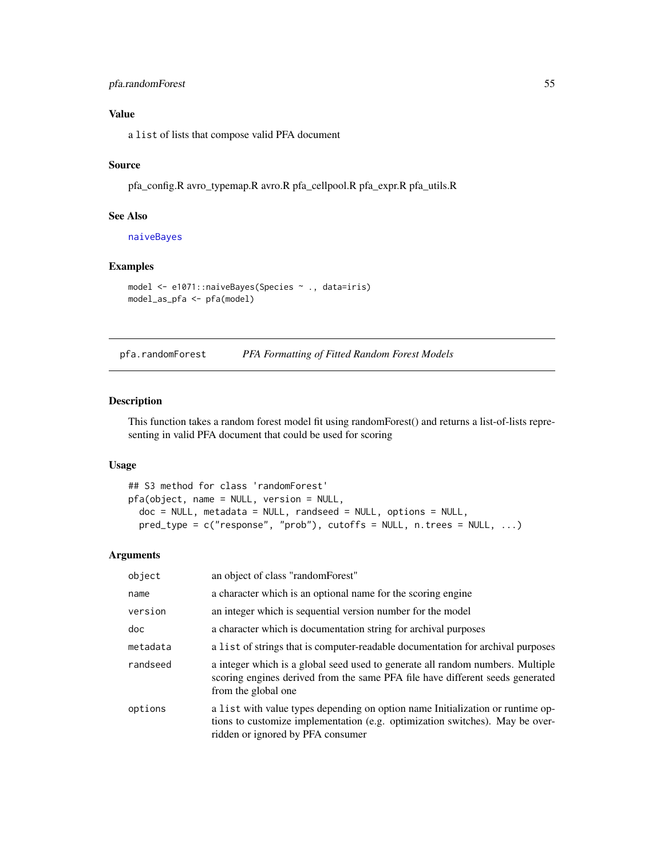# <span id="page-54-0"></span>pfa.randomForest 55

# Value

a list of lists that compose valid PFA document

### Source

pfa\_config.R avro\_typemap.R avro.R pfa\_cellpool.R pfa\_expr.R pfa\_utils.R

# See Also

[naiveBayes](#page-0-0)

### Examples

```
model <- e1071::naiveBayes(Species ~ ., data=iris)
model_as_pfa <- pfa(model)
```
pfa.randomForest *PFA Formatting of Fitted Random Forest Models*

### Description

This function takes a random forest model fit using randomForest() and returns a list-of-lists representing in valid PFA document that could be used for scoring

## Usage

```
## S3 method for class 'randomForest'
pfa(object, name = NULL, version = NULL,
 doc = NULL, metadata = NULL, randseed = NULL, options = NULL,
 pred_type = c("response", "prob"), cutoffs = NULL, n.trees = NULL, ...)
```

| object   | an object of class "randomForest"                                                                                                                                                                   |
|----------|-----------------------------------------------------------------------------------------------------------------------------------------------------------------------------------------------------|
| name     | a character which is an optional name for the scoring engine                                                                                                                                        |
| version  | an integer which is sequential version number for the model                                                                                                                                         |
| doc      | a character which is documentation string for archival purposes                                                                                                                                     |
| metadata | a list of strings that is computer-readable documentation for archival purposes                                                                                                                     |
| randseed | a integer which is a global seed used to generate all random numbers. Multiple<br>scoring engines derived from the same PFA file have different seeds generated<br>from the global one              |
| options  | a list with value types depending on option name Initialization or runtime op-<br>tions to customize implementation (e.g. optimization switches). May be over-<br>ridden or ignored by PFA consumer |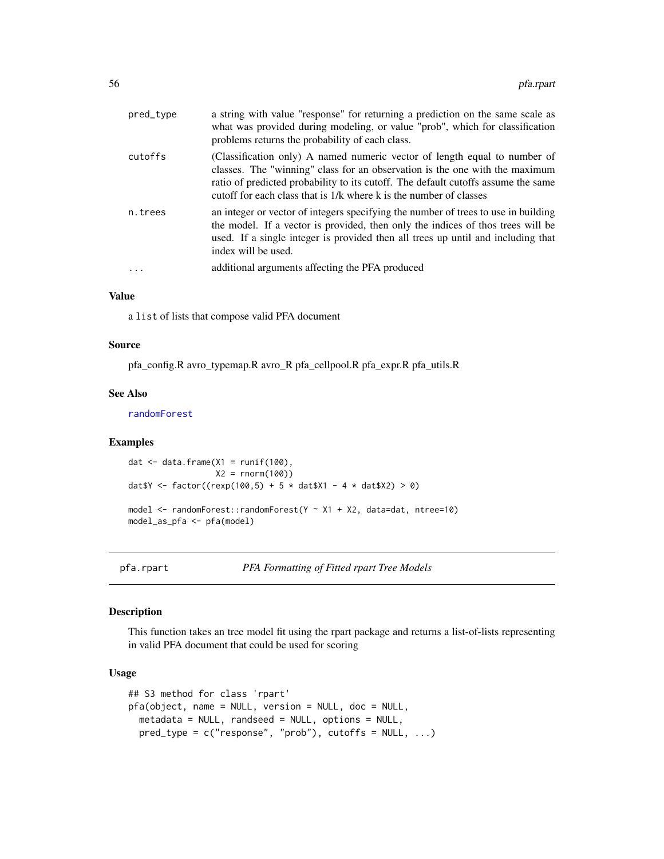<span id="page-55-0"></span>

| pred_type | a string with value "response" for returning a prediction on the same scale as<br>what was provided during modeling, or value "prob", which for classification<br>problems returns the probability of each class.                                                                                                   |
|-----------|---------------------------------------------------------------------------------------------------------------------------------------------------------------------------------------------------------------------------------------------------------------------------------------------------------------------|
| cutoffs   | (Classification only) A named numeric vector of length equal to number of<br>classes. The "winning" class for an observation is the one with the maximum<br>ratio of predicted probability to its cutoff. The default cutoffs assume the same<br>cutoff for each class that is 1/k where k is the number of classes |
| n.trees   | an integer or vector of integers specifying the number of trees to use in building<br>the model. If a vector is provided, then only the indices of thos trees will be<br>used. If a single integer is provided then all trees up until and including that<br>index will be used.                                    |
| $\ddotsc$ | additional arguments affecting the PFA produced                                                                                                                                                                                                                                                                     |

# Value

a list of lists that compose valid PFA document

#### Source

pfa\_config.R avro\_typemap.R avro\_R pfa\_cellpool.R pfa\_expr.R pfa\_utils.R

### See Also

[randomForest](#page-0-0)

### Examples

```
dat \leq data.frame(X1 = runif(100),
                    X2 = rnorm(100)dat \frac{3}{2} <- factor((rexp(100,5) + 5 * dat \frac{3}{2} - 4 * dat \frac{3}{2} > 0)
model <- randomForest::randomForest(Y ~ X1 + X2, data=dat, ntree=10)
model_as_pfa <- pfa(model)
```
pfa.rpart *PFA Formatting of Fitted rpart Tree Models*

#### Description

This function takes an tree model fit using the rpart package and returns a list-of-lists representing in valid PFA document that could be used for scoring

### Usage

```
## S3 method for class 'rpart'
pfa(object, name = NULL, version = NULL, doc = NULL,
 metadata = NULL, randseed = NULL, options = NULL,
 pred_type = c("response", "prob"), cutoffs = NULL, ...)
```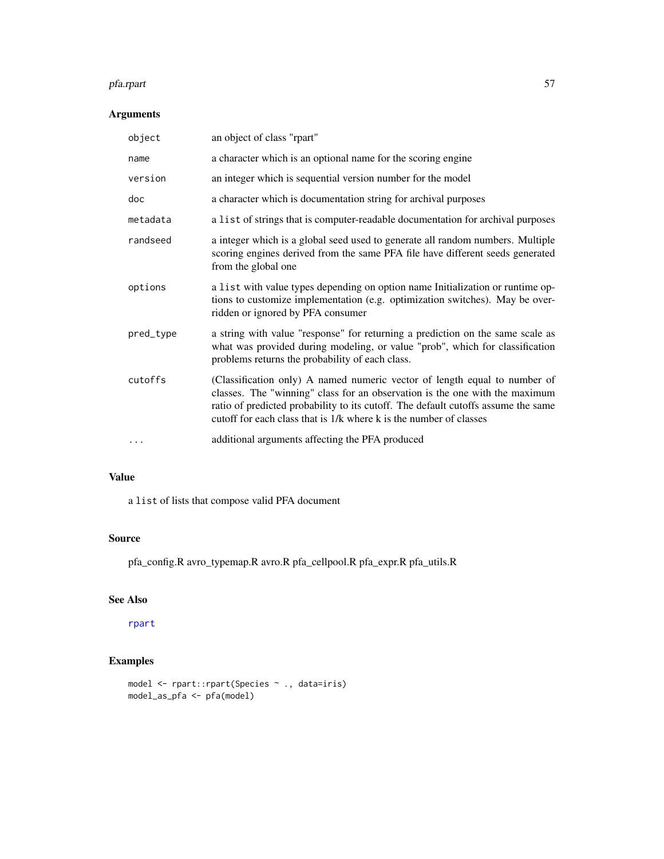#### <span id="page-56-0"></span>pfa.rpart 57

# Arguments

| object    | an object of class "rpart"                                                                                                                                                                                                                                                                                          |
|-----------|---------------------------------------------------------------------------------------------------------------------------------------------------------------------------------------------------------------------------------------------------------------------------------------------------------------------|
| name      | a character which is an optional name for the scoring engine                                                                                                                                                                                                                                                        |
| version   | an integer which is sequential version number for the model                                                                                                                                                                                                                                                         |
| doc       | a character which is documentation string for archival purposes                                                                                                                                                                                                                                                     |
| metadata  | a list of strings that is computer-readable documentation for archival purposes                                                                                                                                                                                                                                     |
| randseed  | a integer which is a global seed used to generate all random numbers. Multiple<br>scoring engines derived from the same PFA file have different seeds generated<br>from the global one                                                                                                                              |
| options   | a list with value types depending on option name Initialization or runtime op-<br>tions to customize implementation (e.g. optimization switches). May be over-<br>ridden or ignored by PFA consumer                                                                                                                 |
| pred_type | a string with value "response" for returning a prediction on the same scale as<br>what was provided during modeling, or value "prob", which for classification<br>problems returns the probability of each class.                                                                                                   |
| cutoffs   | (Classification only) A named numeric vector of length equal to number of<br>classes. The "winning" class for an observation is the one with the maximum<br>ratio of predicted probability to its cutoff. The default cutoffs assume the same<br>cutoff for each class that is 1/k where k is the number of classes |
| $\cdots$  | additional arguments affecting the PFA produced                                                                                                                                                                                                                                                                     |

# Value

a list of lists that compose valid PFA document

# Source

pfa\_config.R avro\_typemap.R avro.R pfa\_cellpool.R pfa\_expr.R pfa\_utils.R

# See Also

[rpart](#page-0-0)

```
model <- rpart::rpart(Species ~ ., data=iris)
model_as_pfa <- pfa(model)
```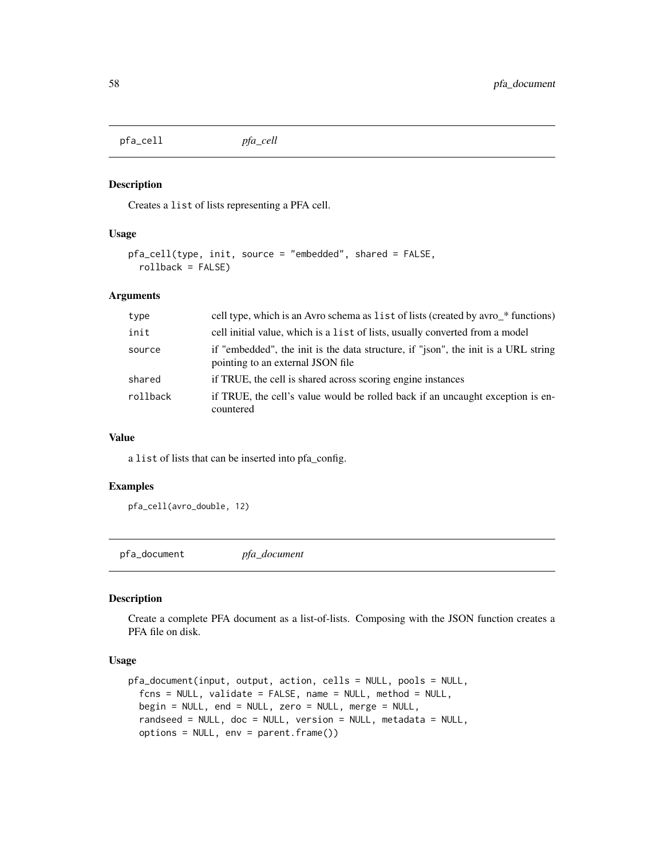<span id="page-57-0"></span>pfa\_cell *pfa\_cell*

# Description

Creates a list of lists representing a PFA cell.

#### Usage

```
pfa_cell(type, init, source = "embedded", shared = FALSE,
  rollback = FALSE)
```
# Arguments

| type     | cell type, which is an Avro schema as list of lists (created by avro_* functions)                                       |
|----------|-------------------------------------------------------------------------------------------------------------------------|
| init     | cell initial value, which is a list of lists, usually converted from a model                                            |
| source   | if "embedded", the init is the data structure, if "json", the init is a URL string<br>pointing to an external JSON file |
| shared   | if TRUE, the cell is shared across scoring engine instances                                                             |
| rollback | if TRUE, the cell's value would be rolled back if an uncaught exception is en-<br>countered                             |

#### Value

a list of lists that can be inserted into pfa\_config.

### Examples

```
pfa_cell(avro_double, 12)
```
pfa\_document *pfa\_document*

#### Description

Create a complete PFA document as a list-of-lists. Composing with the JSON function creates a PFA file on disk.

### Usage

```
pfa_document(input, output, action, cells = NULL, pools = NULL,
  fcns = NULL, validate = FALSE, name = NULL, method = NULL,
 begin = NULL, end = NULL, zero = NULL, merge = NULL,
 randseed = NULL, doc = NULL, version = NULL, metadata = NULL,
 options = NULL, env = parent.frame())
```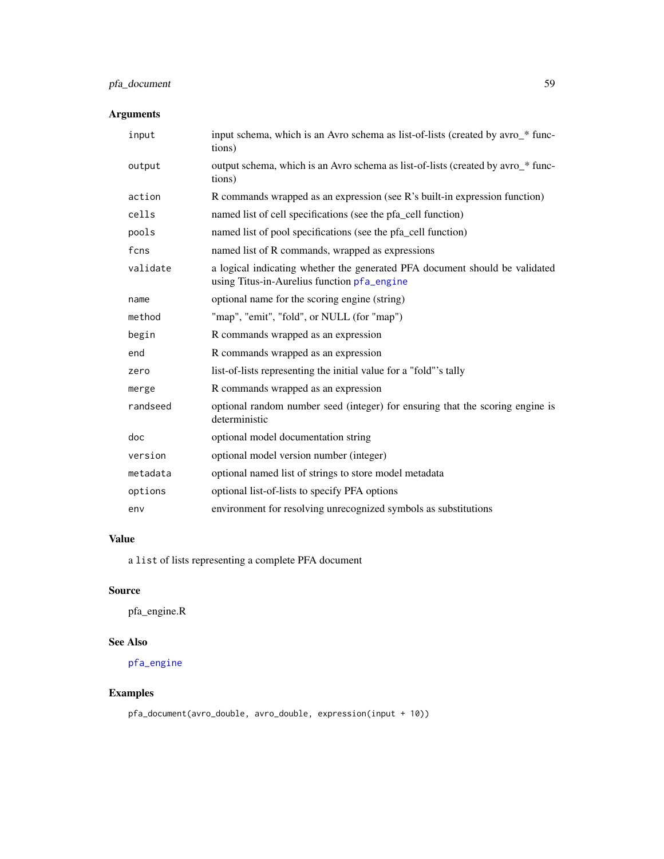# <span id="page-58-0"></span>pfa\_document 59

# Arguments

| input    | input schema, which is an Avro schema as list-of-lists (created by avro_* func-<br>tions)                                  |
|----------|----------------------------------------------------------------------------------------------------------------------------|
| output   | output schema, which is an Avro schema as list-of-lists (created by avro_* func-<br>tions)                                 |
| action   | R commands wrapped as an expression (see R's built-in expression function)                                                 |
| cells    | named list of cell specifications (see the pfa_cell function)                                                              |
| pools    | named list of pool specifications (see the pfa_cell function)                                                              |
| fcns     | named list of R commands, wrapped as expressions                                                                           |
| validate | a logical indicating whether the generated PFA document should be validated<br>using Titus-in-Aurelius function pfa_engine |
| name     | optional name for the scoring engine (string)                                                                              |
| method   | "map", "emit", "fold", or NULL (for "map")                                                                                 |
| begin    | R commands wrapped as an expression                                                                                        |
| end      | R commands wrapped as an expression                                                                                        |
| zero     | list-of-lists representing the initial value for a "fold"'s tally                                                          |
| merge    | R commands wrapped as an expression                                                                                        |
| randseed | optional random number seed (integer) for ensuring that the scoring engine is<br>deterministic                             |
| doc      | optional model documentation string                                                                                        |
| version  | optional model version number (integer)                                                                                    |
| metadata | optional named list of strings to store model metadata                                                                     |
| options  | optional list-of-lists to specify PFA options                                                                              |
| env      | environment for resolving unrecognized symbols as substitutions                                                            |

# Value

a list of lists representing a complete PFA document

# Source

pfa\_engine.R

# See Also

[pfa\\_engine](#page-59-1)

# Examples

pfa\_document(avro\_double, avro\_double, expression(input + 10))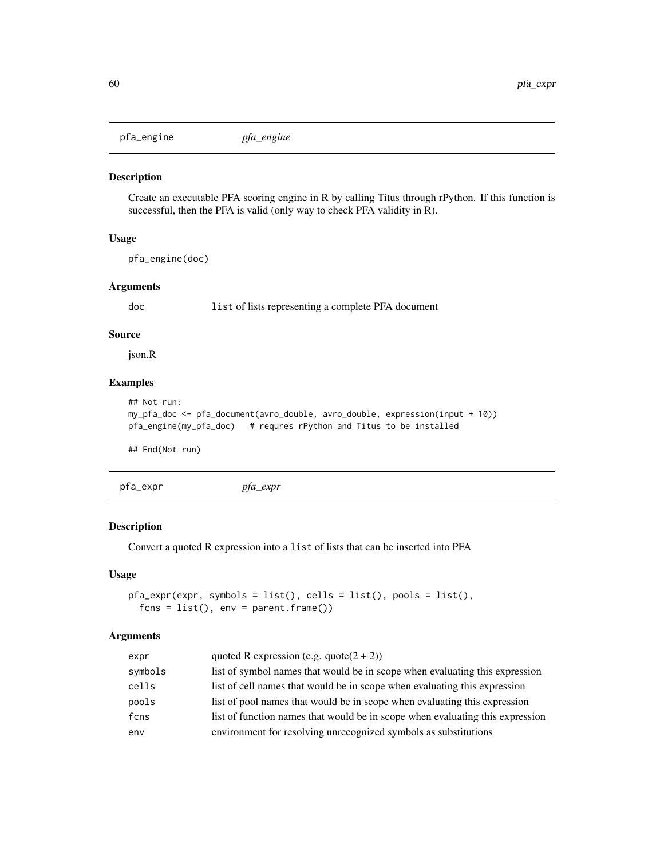<span id="page-59-1"></span><span id="page-59-0"></span>pfa\_engine *pfa\_engine*

#### Description

Create an executable PFA scoring engine in R by calling Titus through rPython. If this function is successful, then the PFA is valid (only way to check PFA validity in R).

# Usage

pfa\_engine(doc)

### Arguments

doc list of lists representing a complete PFA document

#### Source

json.R

# Examples

```
## Not run:
my_pfa_doc <- pfa_document(avro_double, avro_double, expression(input + 10))
pfa_engine(my_pfa_doc) # requres rPython and Titus to be installed
```
## End(Not run)

pfa\_expr *pfa\_expr*

#### Description

Convert a quoted R expression into a list of lists that can be inserted into PFA

#### Usage

```
pfa_expr(expr, symbols = list(), cells = list(), pools = list(),
  f \ncos = list(), env = parent.frame())
```

| expr    | quoted R expression (e.g. quote $(2 + 2)$ )                                   |
|---------|-------------------------------------------------------------------------------|
| symbols | list of symbol names that would be in scope when evaluating this expression   |
| cells   | list of cell names that would be in scope when evaluating this expression     |
| pools   | list of pool names that would be in scope when evaluating this expression     |
| fcns    | list of function names that would be in scope when evaluating this expression |
| env     | environment for resolving unrecognized symbols as substitutions               |
|         |                                                                               |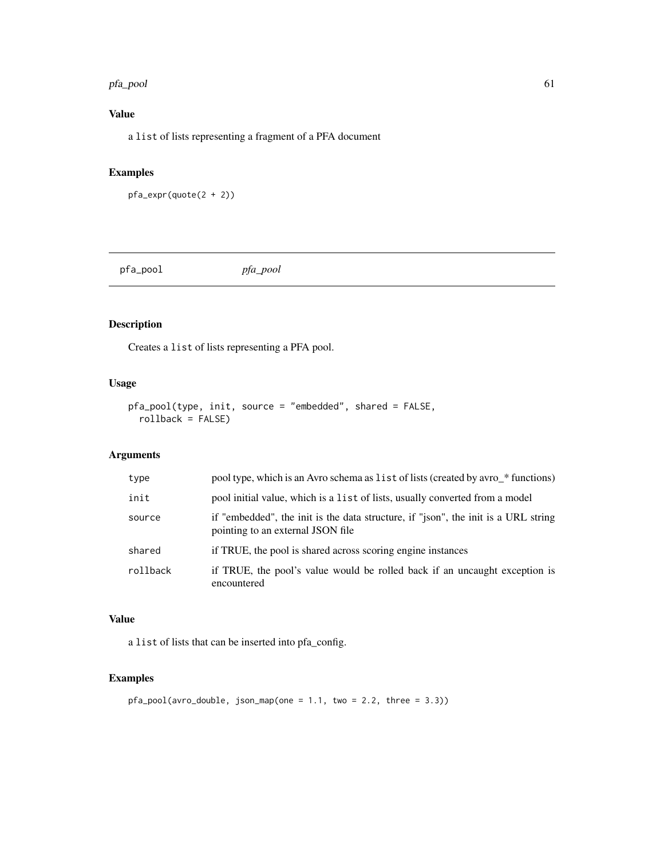#### <span id="page-60-0"></span>pfa\_pool 61

# Value

a list of lists representing a fragment of a PFA document

# Examples

```
pfa_expr(quote(2 + 2))
```
pfa\_pool *pfa\_pool*

# Description

Creates a list of lists representing a PFA pool.

# Usage

```
pfa_pool(type, init, source = "embedded", shared = FALSE,
  rollback = FALSE)
```
# Arguments

| type     | pool type, which is an Avro schema as list of lists (created by avro_* functions)                                       |
|----------|-------------------------------------------------------------------------------------------------------------------------|
| init     | pool initial value, which is a list of lists, usually converted from a model                                            |
| source   | if "embedded", the init is the data structure, if "json", the init is a URL string<br>pointing to an external JSON file |
| shared   | if TRUE, the pool is shared across scoring engine instances                                                             |
| rollback | if TRUE, the pool's value would be rolled back if an uncaught exception is<br>encountered                               |

### Value

a list of lists that can be inserted into pfa\_config.

```
pfa_pool(avro_double, json_map(one = 1.1, two = 2.2, three = 3.3))
```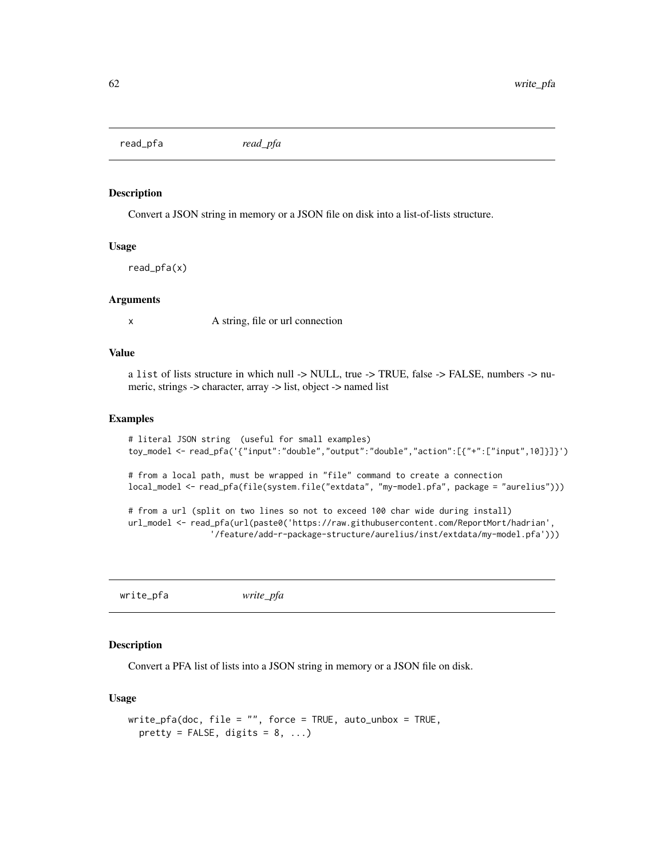<span id="page-61-0"></span>read\_pfa *read\_pfa*

#### Description

Convert a JSON string in memory or a JSON file on disk into a list-of-lists structure.

#### Usage

read\_pfa(x)

#### Arguments

x A string, file or url connection

# Value

a list of lists structure in which null -> NULL, true -> TRUE, false -> FALSE, numbers -> numeric, strings -> character, array -> list, object -> named list

# Examples

```
# literal JSON string (useful for small examples)
toy_model <- read_pfa('{"input":"double","output":"double","action":[{"+":["input",10]}]}')
# from a local path, must be wrapped in "file" command to create a connection
local_model <- read_pfa(file(system.file("extdata", "my-model.pfa", package = "aurelius")))
```

```
# from a url (split on two lines so not to exceed 100 char wide during install)
url_model <- read_pfa(url(paste0('https://raw.githubusercontent.com/ReportMort/hadrian',
                 '/feature/add-r-package-structure/aurelius/inst/extdata/my-model.pfa')))
```
write\_pfa *write\_pfa*

# Description

Convert a PFA list of lists into a JSON string in memory or a JSON file on disk.

#### Usage

```
write_pfa(doc, file = "", force = TRUE, auto_unbox = TRUE,
 pretty = FALSE, digits = 8, ...)
```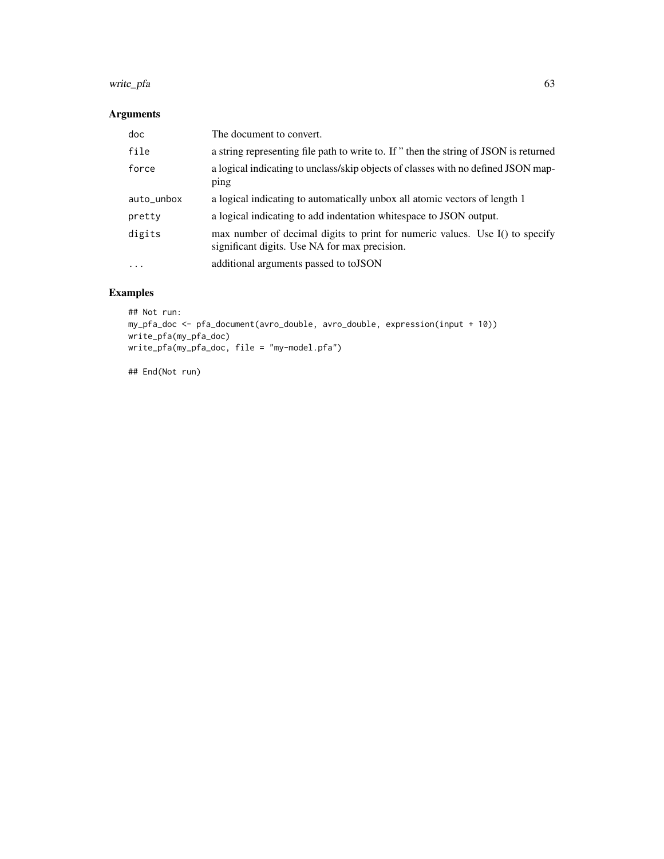#### write\_pfa 63

# Arguments

| doc        | The document to convert.                                                                                                      |
|------------|-------------------------------------------------------------------------------------------------------------------------------|
| file       | a string representing file path to write to. If " then the string of JSON is returned                                         |
| force      | a logical indicating to unclass/skip objects of classes with no defined JSON map-<br>ping                                     |
| auto_unbox | a logical indicating to automatically unbox all atomic vectors of length 1                                                    |
| pretty     | a logical indicating to add indentation white space to JSON output.                                                           |
| digits     | max number of decimal digits to print for numeric values. Use I() to specify<br>significant digits. Use NA for max precision. |
| $\ddotsc$  | additional arguments passed to to JSON                                                                                        |

# Examples

```
## Not run:
my_pfa_doc <- pfa_document(avro_double, avro_double, expression(input + 10))
write_pfa(my_pfa_doc)
write_pfa(my_pfa_doc, file = "my-model.pfa")
```
## End(Not run)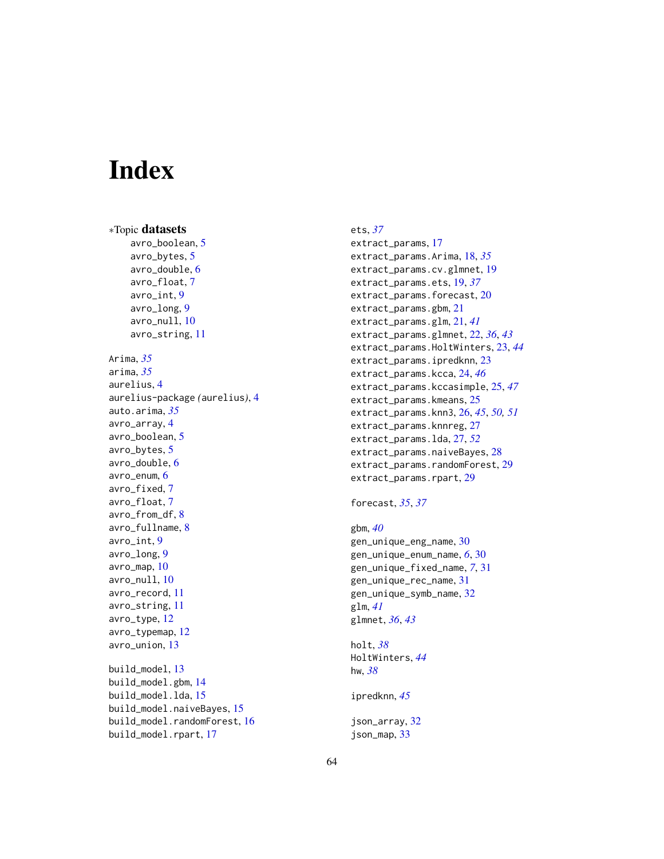# <span id="page-63-0"></span>**Index**

∗Topic datasets avro\_boolean, [5](#page-4-0) avro\_bytes, [5](#page-4-0) avro\_double, [6](#page-5-0) avro\_float, [7](#page-6-0) avro\_int, [9](#page-8-0) avro\_long, [9](#page-8-0) avro\_null, [10](#page-9-0) avro\_string, [11](#page-10-0) Arima, *[35](#page-34-0)* arima, *[35](#page-34-0)* aurelius, [4](#page-3-0) aurelius-package *(*aurelius*)*, [4](#page-3-0) auto.arima, *[35](#page-34-0)* avro\_array, [4](#page-3-0) avro\_boolean, [5](#page-4-0) avro\_bytes, [5](#page-4-0) avro\_double, [6](#page-5-0) avro\_enum, [6](#page-5-0) avro\_fixed, [7](#page-6-0) avro\_float, [7](#page-6-0) avro\_from\_df, [8](#page-7-0) avro\_fullname, [8](#page-7-0) avro\_int, [9](#page-8-0) avro\_long, [9](#page-8-0) avro\_map, [10](#page-9-0) avro\_null, [10](#page-9-0) avro\_record, [11](#page-10-0) avro\_string, [11](#page-10-0) avro\_type, [12](#page-11-0) avro\_typemap, [12](#page-11-0) avro\_union, [13](#page-12-0) build\_model, [13](#page-12-0) build\_model.gbm, [14](#page-13-0) build\_model.lda, [15](#page-14-0) build\_model.naiveBayes, [15](#page-14-0) build\_model.randomForest, [16](#page-15-0) build\_model.rpart, [17](#page-16-0)

#### ets, *[37](#page-36-0)*

```
extract_params, 17
extract_params.Arima, 18, 35
extract_params.cv.glmnet, 19
extract_params.ets, 19, 37
extract_params.forecast, 20
extract_params.gbm, 21
extract_params.glm, 21, 41
extract_params.glmnet, 22, 36, 43
extract_params.HoltWinters, 23, 44
extract_params.ipredknn, 23
extract_params.kcca, 24, 46
extract_params.kccasimple, 25, 47
extract_params.kmeans, 25
extract_params.knn3, 26, 45, 50, 51
extract_params.knnreg, 27
extract_params.lda, 27, 52
extract_params.naiveBayes, 28
extract_params.randomForest, 29
extract_params.rpart, 29
```
### forecast, *[35](#page-34-0)*, *[37](#page-36-0)*

```
gbm, 40
gen_unique_eng_name, 30
gen_unique_enum_name, 6, 30
gen_unique_fixed_name, 7, 31
gen_unique_rec_name, 31
gen_unique_symb_name, 32
glm, 41
glmnet, 36, 43
```

```
holt, 38
HoltWinters, 44
hw, 38
```
ipredknn, *[45](#page-44-0)*

json\_array, [32](#page-31-0) json\_map, [33](#page-32-0)